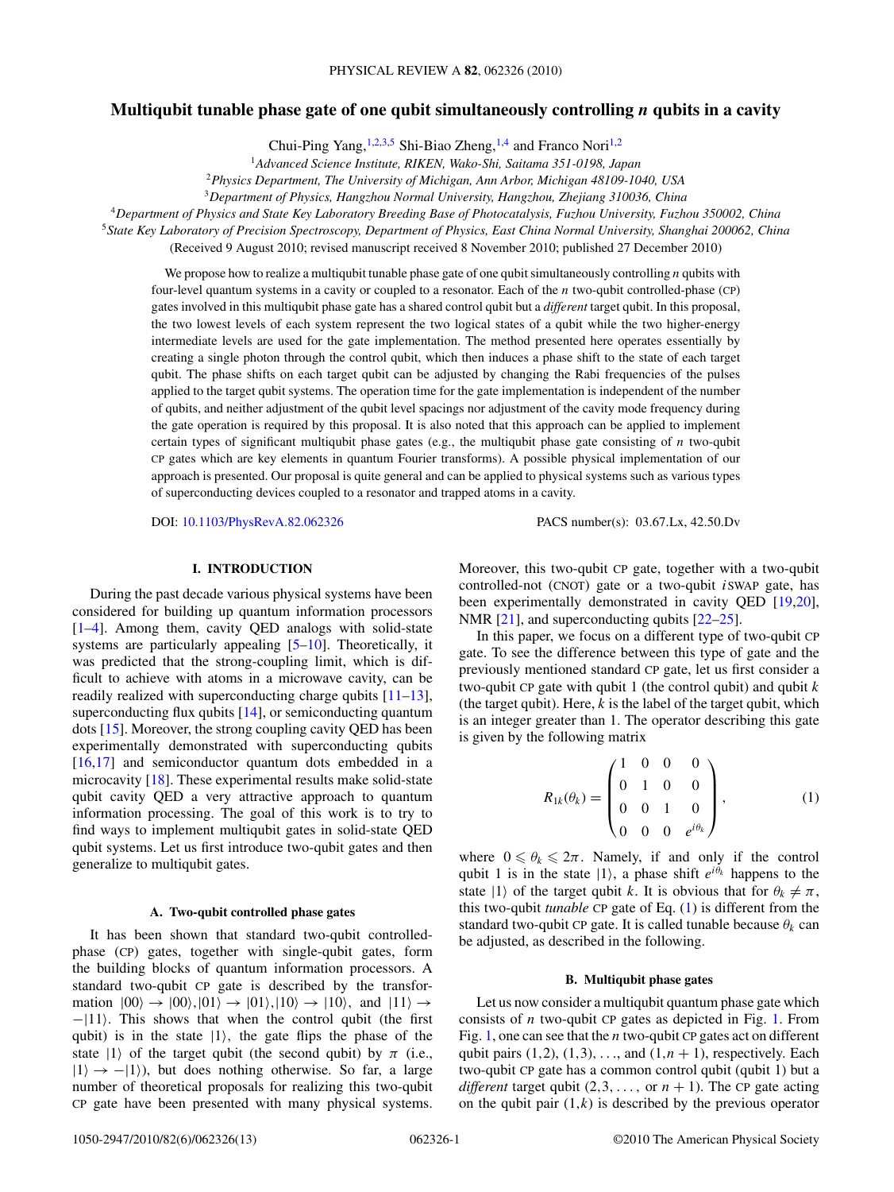# <span id="page-0-0"></span>**Multiqubit tunable phase gate of one qubit simultaneously controlling** *n* **qubits in a cavity**

Chui-Ping Yang,<sup>1,2,3,5</sup> Shi-Biao Zheng,<sup>1,4</sup> and Franco Nori<sup>1,2</sup>

<sup>1</sup>*Advanced Science Institute, RIKEN, Wako-Shi, Saitama 351-0198, Japan*

<sup>2</sup>*Physics Department, The University of Michigan, Ann Arbor, Michigan 48109-1040, USA*

<sup>3</sup>*Department of Physics, Hangzhou Normal University, Hangzhou, Zhejiang 310036, China*

<sup>4</sup>*Department of Physics and State Key Laboratory Breeding Base of Photocatalysis, Fuzhou University, Fuzhou 350002, China*

<sup>5</sup>*State Key Laboratory of Precision Spectroscopy, Department of Physics, East China Normal University, Shanghai 200062, China* (Received 9 August 2010; revised manuscript received 8 November 2010; published 27 December 2010)

We propose how to realize a multiqubit tunable phase gate of one qubit simultaneously controlling *n* qubits with four-level quantum systems in a cavity or coupled to a resonator. Each of the *n* two-qubit controlled-phase (CP) gates involved in this multiqubit phase gate has a shared control qubit but a *different* target qubit. In this proposal, the two lowest levels of each system represent the two logical states of a qubit while the two higher-energy intermediate levels are used for the gate implementation. The method presented here operates essentially by creating a single photon through the control qubit, which then induces a phase shift to the state of each target qubit. The phase shifts on each target qubit can be adjusted by changing the Rabi frequencies of the pulses applied to the target qubit systems. The operation time for the gate implementation is independent of the number of qubits, and neither adjustment of the qubit level spacings nor adjustment of the cavity mode frequency during the gate operation is required by this proposal. It is also noted that this approach can be applied to implement certain types of significant multiqubit phase gates (e.g., the multiqubit phase gate consisting of *n* two-qubit CP gates which are key elements in quantum Fourier transforms). A possible physical implementation of our approach is presented. Our proposal is quite general and can be applied to physical systems such as various types of superconducting devices coupled to a resonator and trapped atoms in a cavity.

DOI: [10.1103/PhysRevA.82.062326](http://dx.doi.org/10.1103/PhysRevA.82.062326) PACS number(s): 03*.*67*.*Lx, 42*.*50*.*Dv

## **I. INTRODUCTION**

During the past decade various physical systems have been considered for building up quantum information processors [\[1–4\]](#page-11-0). Among them, cavity QED analogs with solid-state systems are particularly appealing [\[5–10\]](#page-11-0). Theoretically, it was predicted that the strong-coupling limit, which is difficult to achieve with atoms in a microwave cavity, can be readily realized with superconducting charge qubits [\[11–13\]](#page-11-0), superconducting flux qubits [\[14\]](#page-11-0), or semiconducting quantum dots [\[15\]](#page-11-0). Moreover, the strong coupling cavity QED has been experimentally demonstrated with superconducting qubits [\[16,17\]](#page-11-0) and semiconductor quantum dots embedded in a microcavity [\[18\]](#page-11-0). These experimental results make solid-state qubit cavity QED a very attractive approach to quantum information processing. The goal of this work is to try to find ways to implement multiqubit gates in solid-state QED qubit systems. Let us first introduce two-qubit gates and then generalize to multiqubit gates.

### **A. Two-qubit controlled phase gates**

It has been shown that standard two-qubit controlledphase (CP) gates, together with single-qubit gates, form the building blocks of quantum information processors. A standard two-qubit CP gate is described by the transformation  $|00\rangle \rightarrow |00\rangle, |01\rangle \rightarrow |01\rangle, |10\rangle \rightarrow |10\rangle,$  and  $|11\rangle \rightarrow$ −|11. This shows that when the control qubit (the first qubit) is in the state  $|1\rangle$ , the gate flips the phase of the state  $|1\rangle$  of the target qubit (the second qubit) by  $\pi$  (i.e.,  $|1\rangle \rightarrow -|1\rangle$ , but does nothing otherwise. So far, a large number of theoretical proposals for realizing this two-qubit CP gate have been presented with many physical systems.

Moreover, this two-qubit CP gate, together with a two-qubit controlled-not (CNOT) gate or a two-qubit *i*SWAP gate, has been experimentally demonstrated in cavity QED [\[19,20\]](#page-11-0), NMR [\[21\]](#page-11-0), and superconducting qubits [\[22–25\]](#page-11-0).

In this paper, we focus on a different type of two-qubit CP gate. To see the difference between this type of gate and the previously mentioned standard CP gate, let us first consider a two-qubit CP gate with qubit 1 (the control qubit) and qubit *k* (the target qubit). Here,  $k$  is the label of the target qubit, which is an integer greater than 1. The operator describing this gate is given by the following matrix

$$
R_{1k}(\theta_k) = \begin{pmatrix} 1 & 0 & 0 & 0 \\ 0 & 1 & 0 & 0 \\ 0 & 0 & 1 & 0 \\ 0 & 0 & 0 & e^{i\theta_k} \end{pmatrix},
$$
 (1)

where  $0 \le \theta_k \le 2\pi$ . Namely, if and only if the control qubit 1 is in the state  $|1\rangle$ , a phase shift  $e^{i\theta_k}$  happens to the state  $|1\rangle$  of the target qubit *k*. It is obvious that for  $\theta_k \neq \pi$ , this two-qubit *tunable* CP gate of Eq. (1) is different from the standard two-qubit CP gate. It is called tunable because  $\theta_k$  can be adjusted, as described in the following.

### **B. Multiqubit phase gates**

Let us now consider a multiqubit quantum phase gate which consists of *n* two-qubit CP gates as depicted in Fig. [1.](#page-1-0) From Fig. [1,](#page-1-0) one can see that the *n* two-qubit CP gates act on different qubit pairs  $(1,2)$ ,  $(1,3)$ , ..., and  $(1, n + 1)$ , respectively. Each two-qubit CP gate has a common control qubit (qubit 1) but a *different* target qubit  $(2,3,...,$  or  $n + 1)$ . The CP gate acting on the qubit pair (1*,k*) is described by the previous operator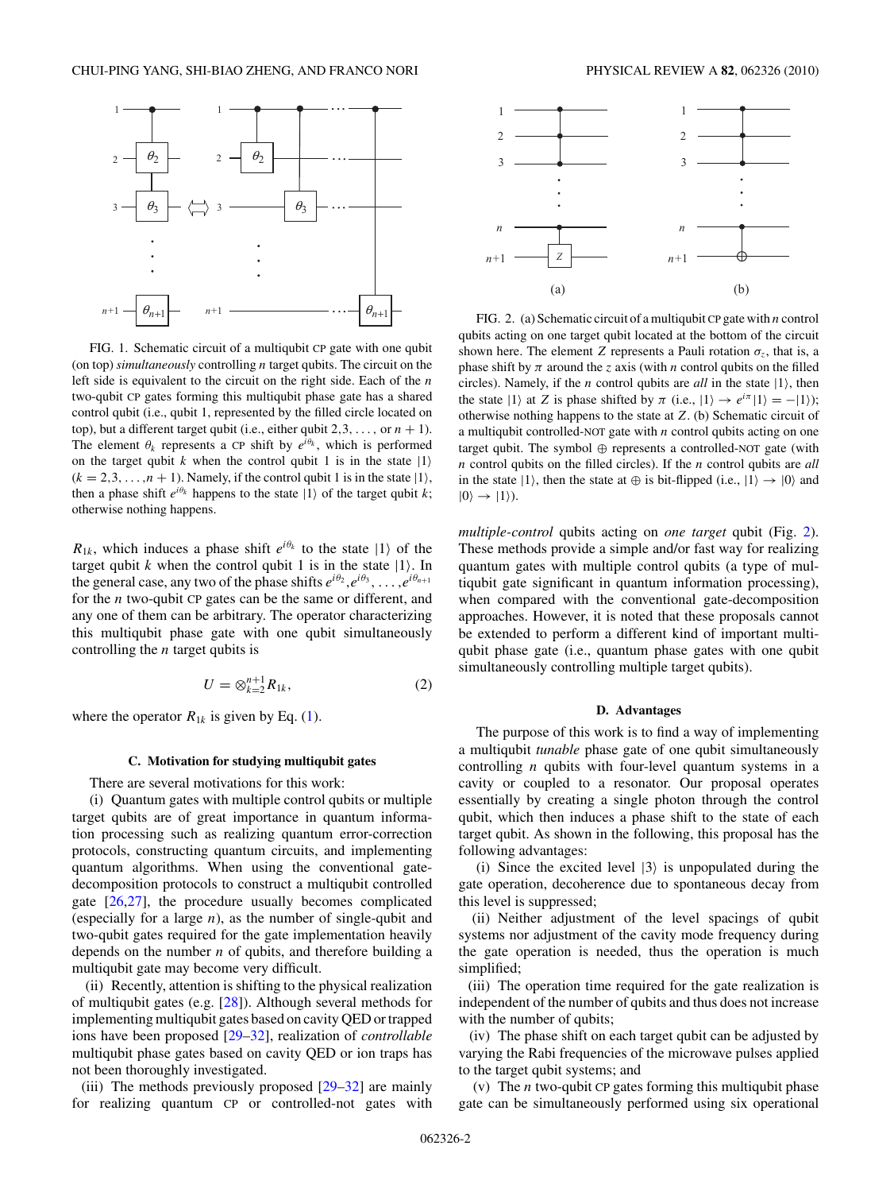<span id="page-1-0"></span>

FIG. 1. Schematic circuit of a multiqubit CP gate with one qubit (on top) *simultaneously* controlling *n* target qubits. The circuit on the left side is equivalent to the circuit on the right side. Each of the *n* two-qubit CP gates forming this multiqubit phase gate has a shared control qubit (i.e., qubit 1, represented by the filled circle located on top), but a different target qubit (i.e., either qubit  $2,3, \ldots$ , or  $n + 1$ ). The element  $\theta_k$  represents a CP shift by  $e^{i\theta_k}$ , which is performed on the target qubit *k* when the control qubit 1 is in the state  $|1\rangle$  $(k = 2, 3, \ldots, n + 1)$ . Namely, if the control qubit 1 is in the state  $|1\rangle$ , then a phase shift  $e^{i\theta_k}$  happens to the state  $|1\rangle$  of the target qubit *k*; otherwise nothing happens.

 $R_{1k}$ , which induces a phase shift  $e^{i\theta_k}$  to the state  $|1\rangle$  of the target qubit  $k$  when the control qubit 1 is in the state  $|1\rangle$ . In the general case, any two of the phase shifts  $e^{i\theta_2}, e^{i\theta_3}, \ldots, e^{i\theta_{n+1}}$ for the *n* two-qubit CP gates can be the same or different, and any one of them can be arbitrary. The operator characterizing this multiqubit phase gate with one qubit simultaneously controlling the *n* target qubits is

$$
U = \otimes_{k=2}^{n+1} R_{1k},\tag{2}
$$

where the operator  $R_{1k}$  is given by Eq. [\(1\)](#page-0-0).

### **C. Motivation for studying multiqubit gates**

There are several motivations for this work:

(i) Quantum gates with multiple control qubits or multiple target qubits are of great importance in quantum information processing such as realizing quantum error-correction protocols, constructing quantum circuits, and implementing quantum algorithms. When using the conventional gatedecomposition protocols to construct a multiqubit controlled gate [\[26,27\]](#page-11-0), the procedure usually becomes complicated (especially for a large *n*), as the number of single-qubit and two-qubit gates required for the gate implementation heavily depends on the number *n* of qubits, and therefore building a multiqubit gate may become very difficult.

(ii) Recently, attention is shifting to the physical realization of multiqubit gates (e.g. [\[28\]](#page-11-0)). Although several methods for implementing multiqubit gates based on cavity QED or trapped ions have been proposed [\[29–32\]](#page-11-0), realization of *controllable* multiqubit phase gates based on cavity QED or ion traps has not been thoroughly investigated.

(iii) The methods previously proposed [\[29–32\]](#page-11-0) are mainly for realizing quantum CP or controlled-not gates with



FIG. 2. (a) Schematic circuit of a multiqubit CP gate with *n* control qubits acting on one target qubit located at the bottom of the circuit shown here. The element *Z* represents a Pauli rotation  $\sigma_z$ , that is, a phase shift by  $\pi$  around the *z* axis (with *n* control qubits on the filled circles). Namely, if the *n* control qubits are *all* in the state  $|1\rangle$ , then the state  $|1\rangle$  at *Z* is phase shifted by  $\pi$  (i.e.,  $|1\rangle \rightarrow e^{i\pi} |1\rangle = -|1\rangle$ ); otherwise nothing happens to the state at *Z*. (b) Schematic circuit of a multiqubit controlled-NOT gate with *n* control qubits acting on one target qubit. The symbol ⊕ represents a controlled-NOT gate (with *n* control qubits on the filled circles). If the *n* control qubits are *all* in the state  $|1\rangle$ , then the state at  $\oplus$  is bit-flipped (i.e.,  $|1\rangle \rightarrow |0\rangle$  and  $|0\rangle \rightarrow |1\rangle$ ).

*multiple-control* qubits acting on *one target* qubit (Fig. 2). These methods provide a simple and/or fast way for realizing quantum gates with multiple control qubits (a type of multiqubit gate significant in quantum information processing), when compared with the conventional gate-decomposition approaches. However, it is noted that these proposals cannot be extended to perform a different kind of important multiqubit phase gate (i.e., quantum phase gates with one qubit simultaneously controlling multiple target qubits).

### **D. Advantages**

The purpose of this work is to find a way of implementing a multiqubit *tunable* phase gate of one qubit simultaneously controlling *n* qubits with four-level quantum systems in a cavity or coupled to a resonator. Our proposal operates essentially by creating a single photon through the control qubit, which then induces a phase shift to the state of each target qubit. As shown in the following, this proposal has the following advantages:

(i) Since the excited level  $|3\rangle$  is unpopulated during the gate operation, decoherence due to spontaneous decay from this level is suppressed;

(ii) Neither adjustment of the level spacings of qubit systems nor adjustment of the cavity mode frequency during the gate operation is needed, thus the operation is much simplified;

(iii) The operation time required for the gate realization is independent of the number of qubits and thus does not increase with the number of qubits;

(iv) The phase shift on each target qubit can be adjusted by varying the Rabi frequencies of the microwave pulses applied to the target qubit systems; and

(v) The *n* two-qubit CP gates forming this multiqubit phase gate can be simultaneously performed using six operational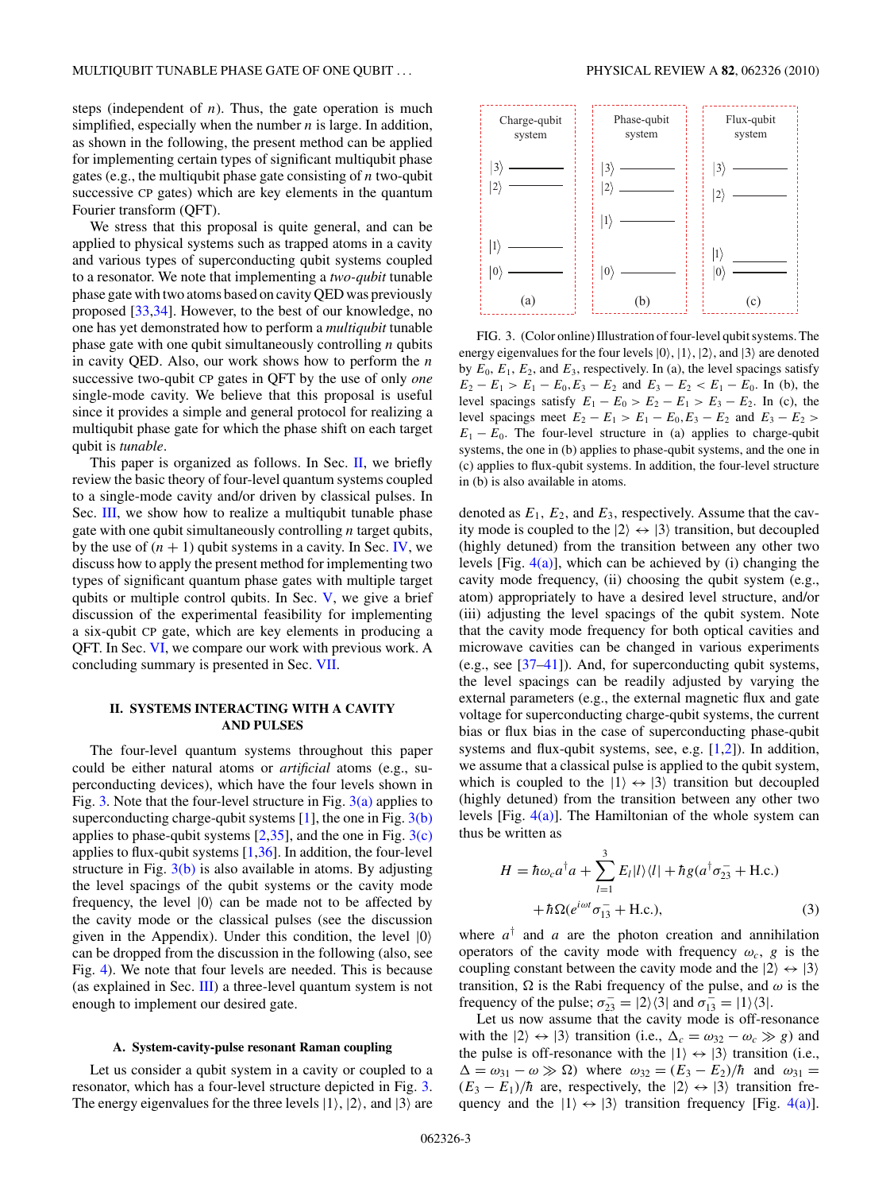<span id="page-2-0"></span>steps (independent of  $n$ ). Thus, the gate operation is much simplified, especially when the number *n* is large. In addition, as shown in the following, the present method can be applied for implementing certain types of significant multiqubit phase gates (e.g., the multiqubit phase gate consisting of *n* two-qubit successive CP gates) which are key elements in the quantum Fourier transform (QFT).

We stress that this proposal is quite general, and can be applied to physical systems such as trapped atoms in a cavity and various types of superconducting qubit systems coupled to a resonator. We note that implementing a *two-qubit* tunable phase gate with two atoms based on cavity QED was previously proposed [\[33,34\]](#page-11-0). However, to the best of our knowledge, no one has yet demonstrated how to perform a *multiqubit* tunable phase gate with one qubit simultaneously controlling *n* qubits in cavity QED. Also, our work shows how to perform the *n* successive two-qubit CP gates in QFT by the use of only *one* single-mode cavity. We believe that this proposal is useful since it provides a simple and general protocol for realizing a multiqubit phase gate for which the phase shift on each target qubit is *tunable*.

This paper is organized as follows. In Sec.  $II$ , we briefly review the basic theory of four-level quantum systems coupled to a single-mode cavity and/or driven by classical pulses. In Sec. [III,](#page-5-0) we show how to realize a multiqubit tunable phase gate with one qubit simultaneously controlling *n* target qubits, by the use of  $(n + 1)$  qubit systems in a cavity. In Sec. [IV,](#page-7-0) we discuss how to apply the present method for implementing two types of significant quantum phase gates with multiple target qubits or multiple control qubits. In Sec. [V,](#page-8-0) we give a brief discussion of the experimental feasibility for implementing a six-qubit CP gate, which are key elements in producing a QFT. In Sec. [VI,](#page-9-0) we compare our work with previous work. A concluding summary is presented in Sec. [VII.](#page-9-0)

## **II. SYSTEMS INTERACTING WITH A CAVITY AND PULSES**

The four-level quantum systems throughout this paper could be either natural atoms or *artificial* atoms (e.g., superconducting devices), which have the four levels shown in Fig. 3. Note that the four-level structure in Fig. 3(a) applies to superconducting charge-qubit systems  $[1]$ , the one in Fig.  $3(b)$ applies to phase-qubit systems  $[2,35]$  $[2,35]$ , and the one in Fig.  $3(c)$ applies to flux-qubit systems  $[1,36]$  $[1,36]$ . In addition, the four-level structure in Fig.  $3(b)$  is also available in atoms. By adjusting the level spacings of the qubit systems or the cavity mode frequency, the level  $|0\rangle$  can be made not to be affected by the cavity mode or the classical pulses (see the discussion given in the Appendix). Under this condition, the level  $|0\rangle$ can be dropped from the discussion in the following (also, see Fig. [4\)](#page-3-0). We note that four levels are needed. This is because (as explained in Sec. [III\)](#page-5-0) a three-level quantum system is not enough to implement our desired gate.

#### **A. System-cavity-pulse resonant Raman coupling**

Let us consider a qubit system in a cavity or coupled to a resonator, which has a four-level structure depicted in Fig. 3. The energy eigenvalues for the three levels  $|1\rangle$ ,  $|2\rangle$ , and  $|3\rangle$  are



FIG. 3. (Color online) Illustration of four-level qubit systems. The energy eigenvalues for the four levels  $|0\rangle$ ,  $|1\rangle$ ,  $|2\rangle$ , and  $|3\rangle$  are denoted by  $E_0$ ,  $E_1$ ,  $E_2$ , and  $E_3$ , respectively. In (a), the level spacings satisfy  $E_2 - E_1 > E_1 - E_0, E_3 - E_2$  and  $E_3 - E_2 < E_1 - E_0$ . In (b), the level spacings satisfy  $E_1 - E_0 > E_2 - E_1 > E_3 - E_2$ . In (c), the level spacings meet  $E_2 - E_1 > E_1 - E_0, E_3 - E_2$  and  $E_3 - E_2 >$  $E_1 - E_0$ . The four-level structure in (a) applies to charge-qubit systems, the one in (b) applies to phase-qubit systems, and the one in (c) applies to flux-qubit systems. In addition, the four-level structure in (b) is also available in atoms.

denoted as  $E_1$ ,  $E_2$ , and  $E_3$ , respectively. Assume that the cavity mode is coupled to the  $|2\rangle \leftrightarrow |3\rangle$  transition, but decoupled (highly detuned) from the transition between any other two levels [Fig.  $4(a)$ ], which can be achieved by (i) changing the cavity mode frequency, (ii) choosing the qubit system (e.g., atom) appropriately to have a desired level structure, and/or (iii) adjusting the level spacings of the qubit system. Note that the cavity mode frequency for both optical cavities and microwave cavities can be changed in various experiments (e.g., see [\[37–41\]](#page-12-0)). And, for superconducting qubit systems, the level spacings can be readily adjusted by varying the external parameters (e.g., the external magnetic flux and gate voltage for superconducting charge-qubit systems, the current bias or flux bias in the case of superconducting phase-qubit systems and flux-qubit systems, see, e.g. [\[1,2\]](#page-11-0)). In addition, we assume that a classical pulse is applied to the qubit system, which is coupled to the  $|1\rangle \leftrightarrow |3\rangle$  transition but decoupled (highly detuned) from the transition between any other two levels [Fig.  $4(a)$ ]. The Hamiltonian of the whole system can thus be written as

$$
H = \hbar \omega_c a^{\dagger} a + \sum_{l=1}^{3} E_l |l\rangle\langle l| + \hbar g (a^{\dagger} \sigma_{23}^- + \text{H.c.})
$$

$$
+ \hbar \Omega (e^{i\omega t} \sigma_{13}^- + \text{H.c.}), \tag{3}
$$

where  $a^{\dagger}$  and  $a$  are the photon creation and annihilation operators of the cavity mode with frequency  $\omega_c$ , *g* is the coupling constant between the cavity mode and the  $|2\rangle \leftrightarrow |3\rangle$ transition,  $\Omega$  is the Rabi frequency of the pulse, and  $\omega$  is the frequency of the pulse;  $\sigma_{23}^- = |2\rangle\langle 3|$  and  $\sigma_{13}^- = |1\rangle\langle 3|$ .

Let us now assume that the cavity mode is off-resonance with the  $|2\rangle \leftrightarrow |3\rangle$  transition (i.e.,  $\Delta_c = \omega_{32} - \omega_c \gg g$ ) and the pulse is off-resonance with the  $|1\rangle \leftrightarrow |3\rangle$  transition (i.e.,  $\Delta = \omega_{31} - \omega \gg \Omega$ ) where  $\omega_{32} = (E_3 - E_2)/\hbar$  and  $\omega_{31} =$  $(E_3 - E_1)/\hbar$  are, respectively, the  $|2\rangle \leftrightarrow |3\rangle$  transition frequency and the  $|1\rangle \leftrightarrow |3\rangle$  transition frequency [Fig. [4\(a\)\]](#page-3-0).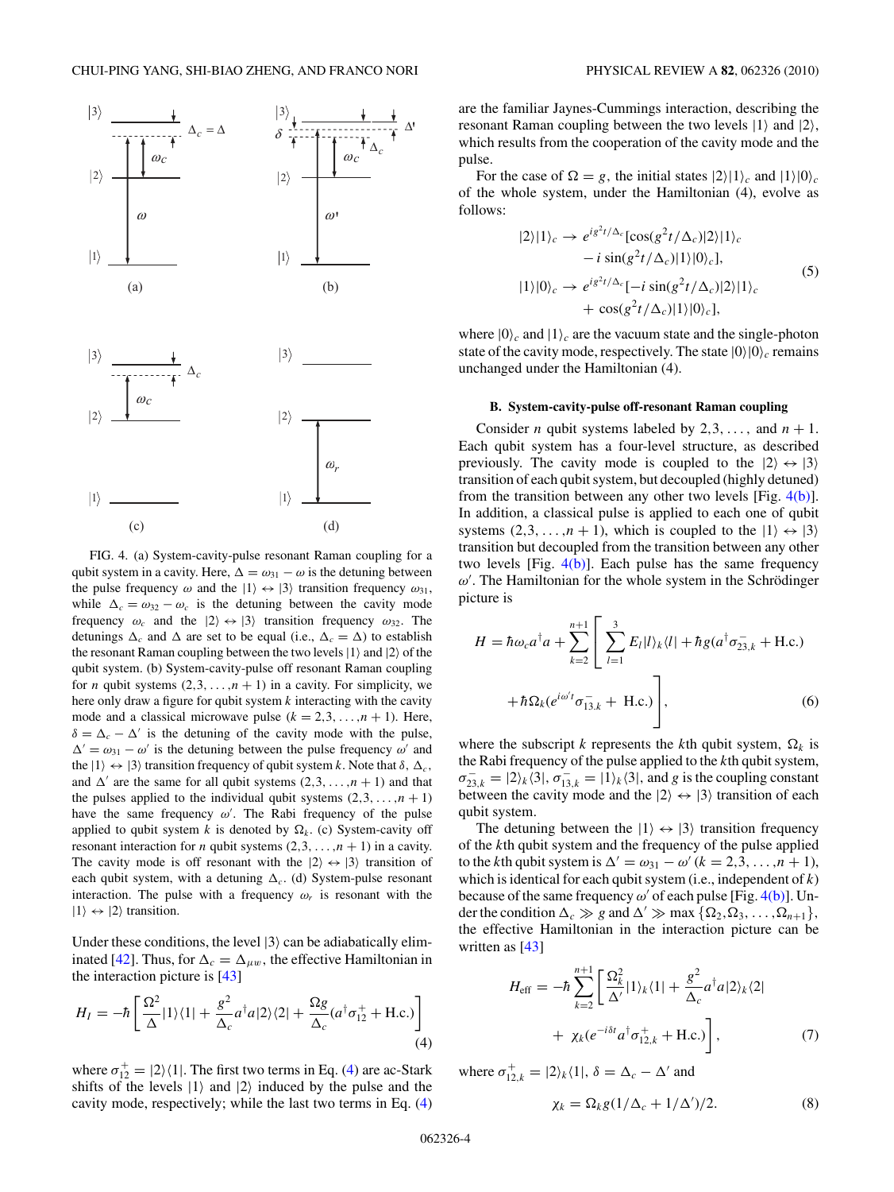<span id="page-3-0"></span>

FIG. 4. (a) System-cavity-pulse resonant Raman coupling for a qubit system in a cavity. Here,  $\Delta = \omega_{31} - \omega$  is the detuning between the pulse frequency  $\omega$  and the  $|1\rangle \leftrightarrow |3\rangle$  transition frequency  $\omega_{31}$ , while  $\Delta_c = \omega_{32} - \omega_c$  is the detuning between the cavity mode frequency  $\omega_c$  and the  $|2\rangle \leftrightarrow |3\rangle$  transition frequency  $\omega_{32}$ . The detunings  $\Delta_c$  and  $\Delta$  are set to be equal (i.e.,  $\Delta_c = \Delta$ ) to establish the resonant Raman coupling between the two levels  $|1\rangle$  and  $|2\rangle$  of the qubit system. (b) System-cavity-pulse off resonant Raman coupling for *n* qubit systems  $(2,3, \ldots, n+1)$  in a cavity. For simplicity, we here only draw a figure for qubit system *k* interacting with the cavity mode and a classical microwave pulse  $(k = 2,3,...,n + 1)$ . Here,  $\delta = \Delta_c - \Delta'$  is the detuning of the cavity mode with the pulse,  $\Delta' = \omega_{31} - \omega'$  is the detuning between the pulse frequency  $\omega'$  and the  $|1\rangle \leftrightarrow |3\rangle$  transition frequency of qubit system *k*. Note that  $\delta$ ,  $\Delta_c$ , and  $\Delta'$  are the same for all qubit systems  $(2,3,\ldots,n+1)$  and that the pulses applied to the individual qubit systems  $(2,3,...,n+1)$ have the same frequency  $\omega'$ . The Rabi frequency of the pulse applied to qubit system *k* is denoted by  $\Omega_k$ . (c) System-cavity off resonant interaction for *n* qubit systems  $(2,3, \ldots, n+1)$  in a cavity. The cavity mode is off resonant with the  $|2\rangle \leftrightarrow |3\rangle$  transition of each qubit system, with a detuning  $\Delta_c$ . (d) System-pulse resonant interaction. The pulse with a frequency  $\omega_r$  is resonant with the  $|1\rangle \leftrightarrow |2\rangle$  transition.

Under these conditions, the level  $|3\rangle$  can be adiabatically elim-inated [\[42\]](#page-12-0). Thus, for  $\Delta_c = \Delta_{\mu w}$ , the effective Hamiltonian in the interaction picture is [\[43\]](#page-12-0)

$$
H_{I} = -\hbar \left[ \frac{\Omega^{2}}{\Delta} |1\rangle\langle 1| + \frac{g^{2}}{\Delta_{c}} a^{\dagger} a |2\rangle\langle 2| + \frac{\Omega g}{\Delta_{c}} (a^{\dagger} \sigma_{12}^{+} + \text{H.c.}) \right]
$$
(4)

where  $\sigma_{12}^+ = |2\rangle\langle 1|$ . The first two terms in Eq. (4) are ac-Stark shifts of the levels  $|1\rangle$  and  $|2\rangle$  induced by the pulse and the cavity mode, respectively; while the last two terms in Eq. (4)

are the familiar Jaynes-Cummings interaction, describing the resonant Raman coupling between the two levels  $|1\rangle$  and  $|2\rangle$ , which results from the cooperation of the cavity mode and the pulse.

For the case of  $\Omega = g$ , the initial states  $|2\rangle|1\rangle_c$  and  $|1\rangle|0\rangle_c$ of the whole system, under the Hamiltonian (4), evolve as follows:

$$
|2\rangle|1\rangle_c \rightarrow e^{i g^2 t/\Delta_c} [\cos(g^2 t/\Delta_c)|2\rangle|1\rangle_c - i \sin(g^2 t/\Delta_c)|1\rangle|0\rangle_c],
$$
  

$$
|1\rangle|0\rangle_c \rightarrow e^{i g^2 t/\Delta_c}[-i \sin(g^2 t/\Delta_c)|2\rangle|1\rangle_c + \cos(g^2 t/\Delta_c)|1\rangle|0\rangle_c],
$$
 (5)

where  $|0\rangle_c$  and  $|1\rangle_c$  are the vacuum state and the single-photon state of the cavity mode, respectively. The state  $|0\rangle|0\rangle_c$  remains unchanged under the Hamiltonian (4).

## **B. System-cavity-pulse off-resonant Raman coupling**

Consider *n* qubit systems labeled by 2,3, ..., and  $n + 1$ . Each qubit system has a four-level structure, as described previously. The cavity mode is coupled to the  $|2\rangle \leftrightarrow |3\rangle$ transition of each qubit system, but decoupled (highly detuned) from the transition between any other two levels [Fig. 4(b)]. In addition, a classical pulse is applied to each one of qubit systems  $(2,3, \ldots, n+1)$ , which is coupled to the  $|1\rangle \leftrightarrow |3\rangle$ transition but decoupled from the transition between any other two levels [Fig.  $4(b)$ ]. Each pulse has the same frequency  $ω'$ . The Hamiltonian for the whole system in the Schrödinger picture is

$$
H = \hbar \omega_c a^{\dagger} a + \sum_{k=2}^{n+1} \left[ \sum_{l=1}^{3} E_l |l\rangle_k \langle l| + \hbar g(a^{\dagger} \sigma_{23,k}^- + \text{H.c.}) + \hbar \Omega_k (e^{i\omega' t} \sigma_{13,k}^- + \text{H.c.}) \right],
$$
 (6)

where the subscript *k* represents the *k*th qubit system,  $\Omega_k$  is the Rabi frequency of the pulse applied to the *k*th qubit system,  $\sigma_{23,k}^- = |2\rangle_k\langle 3|$ ,  $\sigma_{13,k}^- = |1\rangle_k\langle 3|$ , and *g* is the coupling constant between the cavity mode and the  $|2\rangle \leftrightarrow |3\rangle$  transition of each qubit system.

The detuning between the  $|1\rangle \leftrightarrow |3\rangle$  transition frequency of the *k*th qubit system and the frequency of the pulse applied to the *k*th qubit system is  $\Delta' = \omega_{31} - \omega'$  ( $k = 2, 3, \ldots, n + 1$ ), which is identical for each qubit system (i.e., independent of *k*) because of the same frequency  $\omega'$  of each pulse [Fig. 4(b)]. Under the condition  $\Delta_c \gg g$  and  $\Delta' \gg \max{\Omega_2, \Omega_3, \ldots, \Omega_{n+1}}$ , the effective Hamiltonian in the interaction picture can be written as [\[43\]](#page-12-0)

$$
H_{\text{eff}} = -\hbar \sum_{k=2}^{n+1} \left[ \frac{\Omega_k^2}{\Delta'} |1\rangle_k \langle 1| + \frac{g^2}{\Delta_c} a^{\dagger} a |2\rangle_k \langle 2| + \chi_k (e^{-i\delta t} a^{\dagger} \sigma_{12,k}^+ + \text{H.c.}) \right],
$$
 (7)

where  $\sigma_{12,k}^+ = |2\rangle_k\langle 1|, \delta = \Delta_c - \Delta'$  and

$$
\chi_k = \Omega_k g \left( \frac{1}{\Delta_c} + \frac{1}{\Delta'} \right) / 2. \tag{8}
$$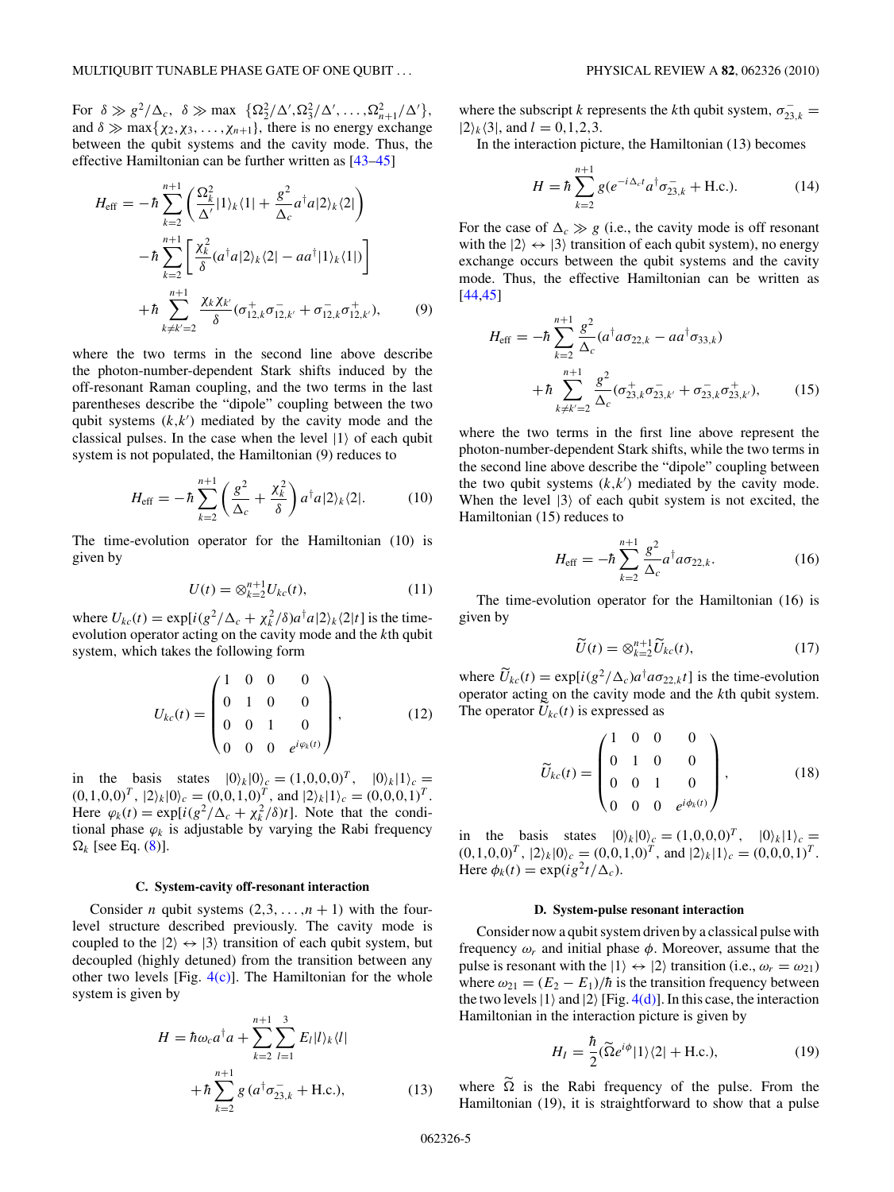<span id="page-4-0"></span>For  $\delta \gg g^2/\Delta_c$ ,  $\delta \gg \max \{ \Omega_2^2/\Delta', \Omega_3^2/\Delta', \dots, \Omega_{n+1}^2/\Delta' \},$ and  $\delta \gg \max\{\chi_2, \chi_3, \ldots, \chi_{n+1}\}\$ , there is no energy exchange between the qubit systems and the cavity mode. Thus, the effective Hamiltonian can be further written as [\[43–45\]](#page-12-0)

$$
H_{\text{eff}} = -\hbar \sum_{k=2}^{n+1} \left( \frac{\Omega_k^2}{\Delta'} |1\rangle_k \langle 1| + \frac{g^2}{\Delta_c} a^\dagger a |2\rangle_k \langle 2| \right)
$$

$$
-\hbar \sum_{k=2}^{n+1} \left[ \frac{\chi_k^2}{\delta} (a^\dagger a |2\rangle_k \langle 2| - a a^\dagger |1\rangle_k \langle 1|) \right]
$$

$$
+\hbar \sum_{k \neq k'=2}^{n+1} \frac{\chi_k \chi_{k'}}{\delta} (\sigma_{12,k}^+ \sigma_{12,k'}^- + \sigma_{12,k}^- \sigma_{12,k'}^+), \qquad (9)
$$

where the two terms in the second line above describe the photon-number-dependent Stark shifts induced by the off-resonant Raman coupling, and the two terms in the last parentheses describe the "dipole" coupling between the two qubit systems  $(k, k')$  mediated by the cavity mode and the classical pulses. In the case when the level  $|1\rangle$  of each qubit system is not populated, the Hamiltonian (9) reduces to

$$
H_{\rm eff} = -\hbar \sum_{k=2}^{n+1} \left( \frac{g^2}{\Delta_c} + \frac{\chi_k^2}{\delta} \right) a^\dagger a |2\rangle_k \langle 2|.
$$
 (10)

The time-evolution operator for the Hamiltonian (10) is given by

$$
U(t) = \otimes_{k=2}^{n+1} U_{kc}(t),
$$
 (11)

where  $U_{kc}(t) = \exp[i(g^2/\Delta_c + \chi_k^2/\delta)a^{\dagger}a|2\rangle_k\langle2|t]$  is the timeevolution operator acting on the cavity mode and the *k*th qubit system*,* which takes the following form

$$
U_{kc}(t) = \begin{pmatrix} 1 & 0 & 0 & 0 \\ 0 & 1 & 0 & 0 \\ 0 & 0 & 1 & 0 \\ 0 & 0 & 0 & e^{i\varphi_k(t)} \end{pmatrix},
$$
 (12)

in the basis states  $|0\rangle_k |0\rangle_c = (1, 0, 0, 0)^T$ ,  $|0\rangle_k |1\rangle_c =$  $(0,1,0,0)^{T}$ ,  $|2\rangle_{k}|0\rangle_{c} = (0,0,1,0)^{T}$ , and  $|2\rangle_{k}|1\rangle_{c} = (0,0,0,1)^{T}$ . Here  $\varphi_k(t) = \exp[i(g^2/\Delta_c + \chi_k^2/\delta)t]$ . Note that the conditional phase  $\varphi_k$  is adjustable by varying the Rabi frequency  $\Omega_k$  [see Eq. [\(8\)](#page-3-0)].

### **C. System-cavity off-resonant interaction**

Consider *n* qubit systems  $(2,3,\ldots,n+1)$  with the fourlevel structure described previously. The cavity mode is coupled to the  $|2\rangle \leftrightarrow |3\rangle$  transition of each qubit system, but decoupled (highly detuned) from the transition between any other two levels [Fig.  $4(c)$ ]. The Hamiltonian for the whole system is given by

$$
H = \hbar \omega_c a^{\dagger} a + \sum_{k=2}^{n+1} \sum_{l=1}^{3} E_l |l\rangle_k \langle l|
$$
  
+  $\hbar \sum_{k=2}^{n+1} g (a^{\dagger} \sigma_{23,k}^- + \text{H.c.}),$  (13)

where the subscript *k* represents the *k*th qubit system,  $\sigma_{23,k}^ |2\rangle_k\langle 3|$ , and  $l = 0, 1, 2, 3$ .

In the interaction picture, the Hamiltonian (13) becomes

$$
H = \hbar \sum_{k=2}^{n+1} g(e^{-i\Delta_{c}t} a^{\dagger} \sigma_{23,k}^{-} + \text{H.c.}).
$$
 (14)

For the case of  $\Delta_c \gg g$  (i.e., the cavity mode is off resonant with the  $|2\rangle \leftrightarrow |3\rangle$  transition of each qubit system), no energy exchange occurs between the qubit systems and the cavity mode. Thus, the effective Hamiltonian can be written as [\[44,45\]](#page-12-0)

$$
H_{\text{eff}} = -\hbar \sum_{k=2}^{n+1} \frac{g^2}{\Delta_c} (a^{\dagger} a \sigma_{22,k} - a a^{\dagger} \sigma_{33,k}) + \hbar \sum_{k \neq k'=2}^{n+1} \frac{g^2}{\Delta_c} (\sigma_{23,k}^+ \sigma_{23,k'}^- + \sigma_{23,k}^- \sigma_{23,k'}^+), \qquad (15)
$$

where the two terms in the first line above represent the photon-number-dependent Stark shifts, while the two terms in the second line above describe the "dipole" coupling between the two qubit systems  $(k, k')$  mediated by the cavity mode. When the level  $|3\rangle$  of each qubit system is not excited, the Hamiltonian (15) reduces to

$$
H_{\rm eff} = -\hbar \sum_{k=2}^{n+1} \frac{g^2}{\Delta_c} a^{\dagger} a \sigma_{22,k}.
$$
 (16)

The time-evolution operator for the Hamiltonian (16) is given by

$$
\widetilde{U}(t) = \otimes_{k=2}^{n+1} \widetilde{U}_{kc}(t),\tag{17}
$$

where  $\tilde{U}_{kc}(t) = \exp[i(g^2/\Delta_c)a^\dagger a \sigma_{22, k}t]$  is the time-evolution operator acting on the cavity mode and the *k*th qubit system. The operator  $U_{kc}(t)$  is expressed as

$$
\widetilde{U}_{kc}(t) = \begin{pmatrix} 1 & 0 & 0 & 0 \\ 0 & 1 & 0 & 0 \\ 0 & 0 & 1 & 0 \\ 0 & 0 & 0 & e^{i\phi_k(t)} \end{pmatrix},
$$
(18)

in the basis states  $|0\rangle_k |0\rangle_c = (1, 0, 0, 0)^T$ ,  $|0\rangle_k |1\rangle_c =$  $(0,1,0,0)^{T}$ ,  $|2\rangle_{k}|0\rangle_{c} = (0,0,1,0)^{T}$ , and  $|2\rangle_{k}|1\rangle_{c} = (0,0,0,1)^{T}$ . Here  $\phi_k(t) = \exp(ig^2t/\Delta_c)$ .

### **D. System-pulse resonant interaction**

Consider now a qubit system driven by a classical pulse with frequency  $\omega_r$  and initial phase  $\phi$ . Moreover, assume that the pulse is resonant with the  $|1\rangle \leftrightarrow |2\rangle$  transition (i.e.,  $\omega_r = \omega_{21}$ ) where  $\omega_{21} = (E_2 - E_1)/\hbar$  is the transition frequency between the two levels  $|1\rangle$  and  $|2\rangle$  [Fig. [4\(d\)\]](#page-3-0). In this case, the interaction Hamiltonian in the interaction picture is given by

$$
H_I = \frac{\hbar}{2} (\widetilde{\Omega} e^{i\phi} |1\rangle\langle 2| + \text{H.c.}),\tag{19}
$$

where  $\tilde{\Omega}$  is the Rabi frequency of the pulse. From the Hamiltonian (19), it is straightforward to show that a pulse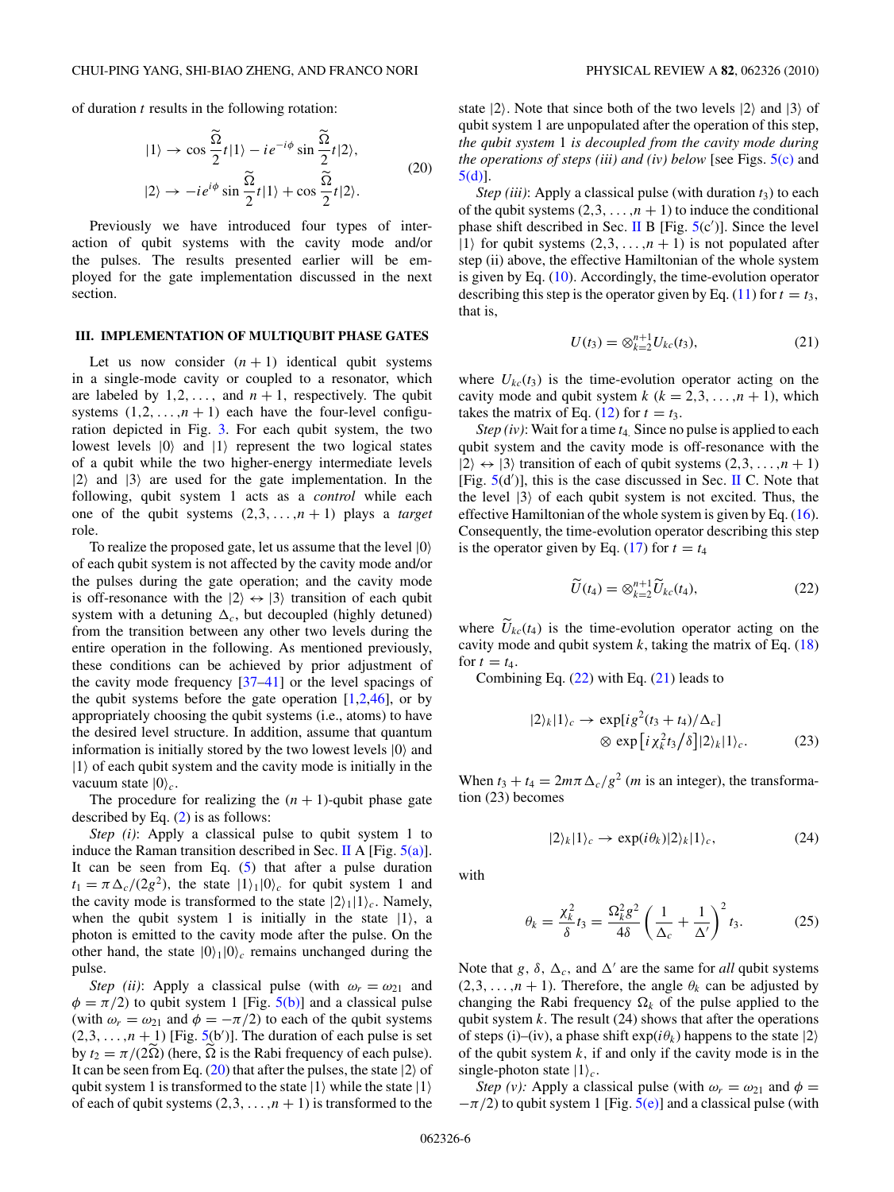<span id="page-5-0"></span>of duration *t* results in the following rotation:

$$
|1\rangle \rightarrow \cos \frac{\tilde{\Omega}}{2} t |1\rangle - i e^{-i\phi} \sin \frac{\tilde{\Omega}}{2} t |2\rangle,
$$
  

$$
|2\rangle \rightarrow -i e^{i\phi} \sin \frac{\tilde{\Omega}}{2} t |1\rangle + \cos \frac{\tilde{\Omega}}{2} t |2\rangle.
$$
 (20)

Previously we have introduced four types of interaction of qubit systems with the cavity mode and/or the pulses. The results presented earlier will be employed for the gate implementation discussed in the next section.

## **III. IMPLEMENTATION OF MULTIQUBIT PHASE GATES**

Let us now consider  $(n + 1)$  identical qubit systems in a single-mode cavity or coupled to a resonator, which are labeled by  $1, 2, \ldots$ , and  $n + 1$ , respectively. The qubit systems  $(1,2,\ldots,n+1)$  each have the four-level configuration depicted in Fig. [3.](#page-2-0) For each qubit system, the two lowest levels  $|0\rangle$  and  $|1\rangle$  represent the two logical states of a qubit while the two higher-energy intermediate levels  $|2\rangle$  and  $|3\rangle$  are used for the gate implementation. In the following, qubit system 1 acts as a *control* while each one of the qubit systems  $(2,3,...,n+1)$  plays a *target* role.

To realize the proposed gate, let us assume that the level  $|0\rangle$ of each qubit system is not affected by the cavity mode and/or the pulses during the gate operation; and the cavity mode is off-resonance with the  $|2\rangle \leftrightarrow |3\rangle$  transition of each qubit system with a detuning  $\Delta_c$ , but decoupled (highly detuned) from the transition between any other two levels during the entire operation in the following. As mentioned previously, these conditions can be achieved by prior adjustment of the cavity mode frequency  $[37-41]$  or the level spacings of the qubit systems before the gate operation  $[1,2,46]$  $[1,2,46]$ , or by appropriately choosing the qubit systems (i.e., atoms) to have the desired level structure. In addition, assume that quantum information is initially stored by the two lowest levels  $|0\rangle$  and  $|1\rangle$  of each qubit system and the cavity mode is initially in the vacuum state  $|0\rangle_c$ .

The procedure for realizing the  $(n + 1)$ -qubit phase gate described by Eq. [\(2\)](#page-1-0) is as follows:

*Step (i)*: Apply a classical pulse to qubit system 1 to induce the Raman transition described in Sec. [II](#page-2-0) A [Fig.  $5(a)$ ]. It can be seen from Eq.  $(5)$  that after a pulse duration  $t_1 = \pi \Delta_c/(2g^2)$ , the state  $|1\rangle_1|0\rangle_c$  for qubit system 1 and the cavity mode is transformed to the state  $|2\rangle_1|1\rangle_c$ . Namely, when the qubit system 1 is initially in the state  $|1\rangle$ , a photon is emitted to the cavity mode after the pulse. On the other hand, the state  $|0\rangle_1|0\rangle_c$  remains unchanged during the pulse.

*Step (ii)*: Apply a classical pulse (with  $\omega_r = \omega_{21}$  and  $\phi = \pi/2$ ) to qubit system 1 [Fig. [5\(b\)\]](#page-6-0) and a classical pulse (with  $\omega_r = \omega_{21}$  and  $\phi = -\pi/2$ ) to each of the qubit systems  $(2,3, \ldots, n + 1)$  [Fig. [5\(](#page-6-0)b')]. The duration of each pulse is set by  $t_2 = \pi/(2\Omega)$  (here,  $\Omega$  is the Rabi frequency of each pulse). It can be seen from Eq.  $(20)$  that after the pulses, the state  $|2\rangle$  of qubit system 1 is transformed to the state  $|1\rangle$  while the state  $|1\rangle$ of each of qubit systems  $(2,3, \ldots, n+1)$  is transformed to the state  $|2\rangle$ . Note that since both of the two levels  $|2\rangle$  and  $|3\rangle$  of qubit system 1 are unpopulated after the operation of this step, *the qubit system* 1 *is decoupled from the cavity mode during the operations of steps (iii) and (iv) below* [see Figs. [5\(c\)](#page-6-0) and [5\(d\)\]](#page-6-0).

*Step (iii)*: Apply a classical pulse (with duration  $t_3$ ) to each of the qubit systems  $(2,3, \ldots, n+1)$  to induce the conditional phase shift described in Sec. [II](#page-2-0) B [Fig.  $5(c')$  $5(c')$ ]. Since the level  $|1\rangle$  for qubit systems  $(2,3, \ldots, n+1)$  is not populated after step (ii) above, the effective Hamiltonian of the whole system is given by Eq. [\(10\)](#page-4-0). Accordingly, the time-evolution operator describing this step is the operator given by Eq. [\(11\)](#page-4-0) for  $t = t_3$ , that is,

$$
U(t_3) = \otimes_{k=2}^{n+1} U_{kc}(t_3), \tag{21}
$$

where  $U_{kc}(t_3)$  is the time-evolution operator acting on the cavity mode and qubit system  $k$  ( $k = 2,3,...,n + 1$ ), which takes the matrix of Eq. [\(12\)](#page-4-0) for  $t = t_3$ .

*Step (iv)*: Wait for a time *t*4*.* Since no pulse is applied to each qubit system and the cavity mode is off-resonance with the  $|2\rangle \leftrightarrow |3\rangle$  transition of each of qubit systems  $(2,3, \ldots, n+1)$ [Fig.  $5(d')$  $5(d')$ ], this is the case discussed in Sec. [II](#page-2-0) C. Note that the level  $|3\rangle$  of each qubit system is not excited. Thus, the effective Hamiltonian of the whole system is given by Eq. [\(16\)](#page-4-0). Consequently, the time-evolution operator describing this step is the operator given by Eq. [\(17\)](#page-4-0) for  $t = t_4$ 

$$
\widetilde{U}(t_4) = \otimes_{k=2}^{n+1} \widetilde{U}_{kc}(t_4),\tag{22}
$$

where  $U_{kc}(t_4)$  is the time-evolution operator acting on the evolution of  $\Gamma_{\text{E}}(t_4)$ cavity mode and qubit system  $k$ , taking the matrix of Eq.  $(18)$ for  $t = t_4$ .

Combining Eq.  $(22)$  with Eq.  $(21)$  leads to

$$
|2\rangle_k|1\rangle_c \to \exp[ig^2(t_3 + t_4)/\Delta_c]
$$
  
 
$$
\otimes \exp[i\chi_k^2 t_3/\delta]|2\rangle_k|1\rangle_c.
$$
 (23)

When  $t_3 + t_4 = 2m\pi \Delta_c/g^2$  (*m* is an integer), the transformation (23) becomes

$$
|2\rangle_k|1\rangle_c \to \exp(i\theta_k)|2\rangle_k|1\rangle_c,\tag{24}
$$

with

$$
\theta_k = \frac{\chi_k^2}{\delta} t_3 = \frac{\Omega_k^2 g^2}{4\delta} \left(\frac{1}{\Delta_c} + \frac{1}{\Delta'}\right)^2 t_3. \tag{25}
$$

Note that *g*,  $\delta$ ,  $\Delta_c$ , and  $\Delta'$  are the same for *all* qubit systems  $(2,3,\ldots,n+1)$ . Therefore, the angle  $\theta_k$  can be adjusted by changing the Rabi frequency  $\Omega_k$  of the pulse applied to the qubit system *k*. The result (24) shows that after the operations of steps (i)–(iv), a phase shift  $exp(i\theta_k)$  happens to the state  $|2\rangle$ of the qubit system  $k$ , if and only if the cavity mode is in the single-photon state  $|1\rangle_c$ .

*Step (v):* Apply a classical pulse (with  $\omega_r = \omega_{21}$  and  $\phi =$  $-\pi/2$ ) to qubit system 1 [Fig.  $5(e)$ ] and a classical pulse (with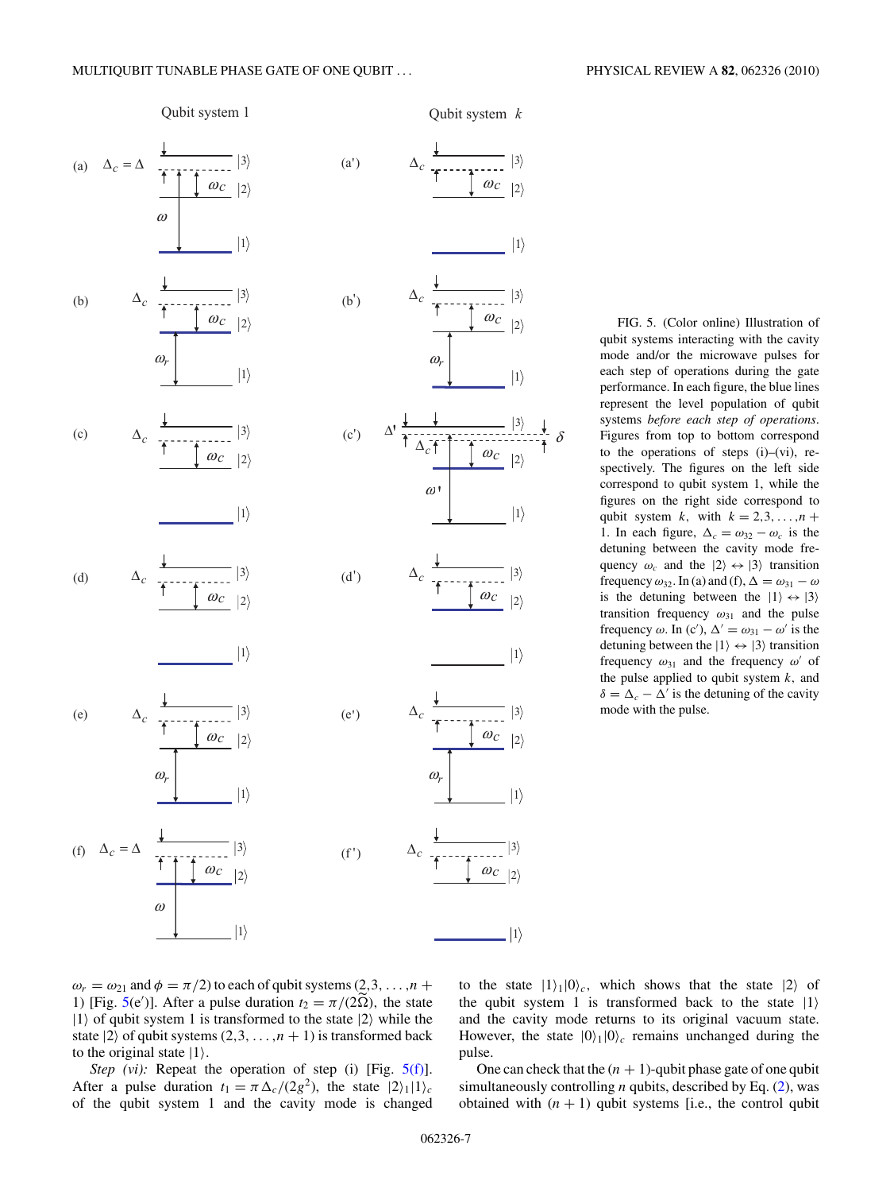<span id="page-6-0"></span>

FIG. 5. (Color online) Illustration of qubit systems interacting with the cavity mode and/or the microwave pulses for each step of operations during the gate performance. In each figure, the blue lines represent the level population of qubit systems *before each step of operations*. Figures from top to bottom correspond to the operations of steps  $(i)$ – $(vi)$ , respectively. The figures on the left side correspond to qubit system 1, while the figures on the right side correspond to qubit system *k*, with  $k = 2, 3, \ldots, n + 1$ 1. In each figure,  $\Delta_c = \omega_{32} - \omega_c$  is the detuning between the cavity mode frequency  $\omega_c$  and the  $|2\rangle \leftrightarrow |3\rangle$  transition frequency  $\omega_{32}$ . In (a) and (f),  $\Delta = \omega_{31} - \omega$ is the detuning between the  $|1\rangle \leftrightarrow |3\rangle$ transition frequency  $\omega_{31}$  and the pulse frequency  $\omega$ . In (c'),  $\Delta' = \omega_{31} - \omega'$  is the detuning between the  $|1\rangle \leftrightarrow |3\rangle$  transition frequency  $\omega_{31}$  and the frequency  $\omega'$  of the pulse applied to qubit system *k,* and  $\delta = \Delta_c - \Delta'$  is the detuning of the cavity mode with the pulse.

 $\omega_r = \omega_{21}$  and  $\phi = \pi/2$ ) to each of qubit systems (2,3, ..., *n* + 1) [Fig. 5(e')]. After a pulse duration  $t_2 = \pi/(2\tilde{\Omega})$ , the state  $|1\rangle$  of qubit system 1 is transformed to the state  $|2\rangle$  while the state  $|2\rangle$  of qubit systems  $(2,3,\ldots,n+1)$  is transformed back to the original state  $|1\rangle$ .

*Step (vi):* Repeat the operation of step (i) [Fig.  $5(f)$ ]. After a pulse duration  $t_1 = \pi \Delta_c/(2g^2)$ , the state  $|2\rangle_1|1\rangle_c$ of the qubit system 1 and the cavity mode is changed to the state  $|1\rangle_1|0\rangle_c$ , which shows that the state  $|2\rangle$  of the qubit system 1 is transformed back to the state  $|1\rangle$ and the cavity mode returns to its original vacuum state. However, the state  $|0\rangle_1|0\rangle_c$  remains unchanged during the pulse.

One can check that the  $(n + 1)$ -qubit phase gate of one qubit simultaneously controlling *n* qubits, described by Eq. [\(2\)](#page-1-0), was obtained with  $(n + 1)$  qubit systems [i.e., the control qubit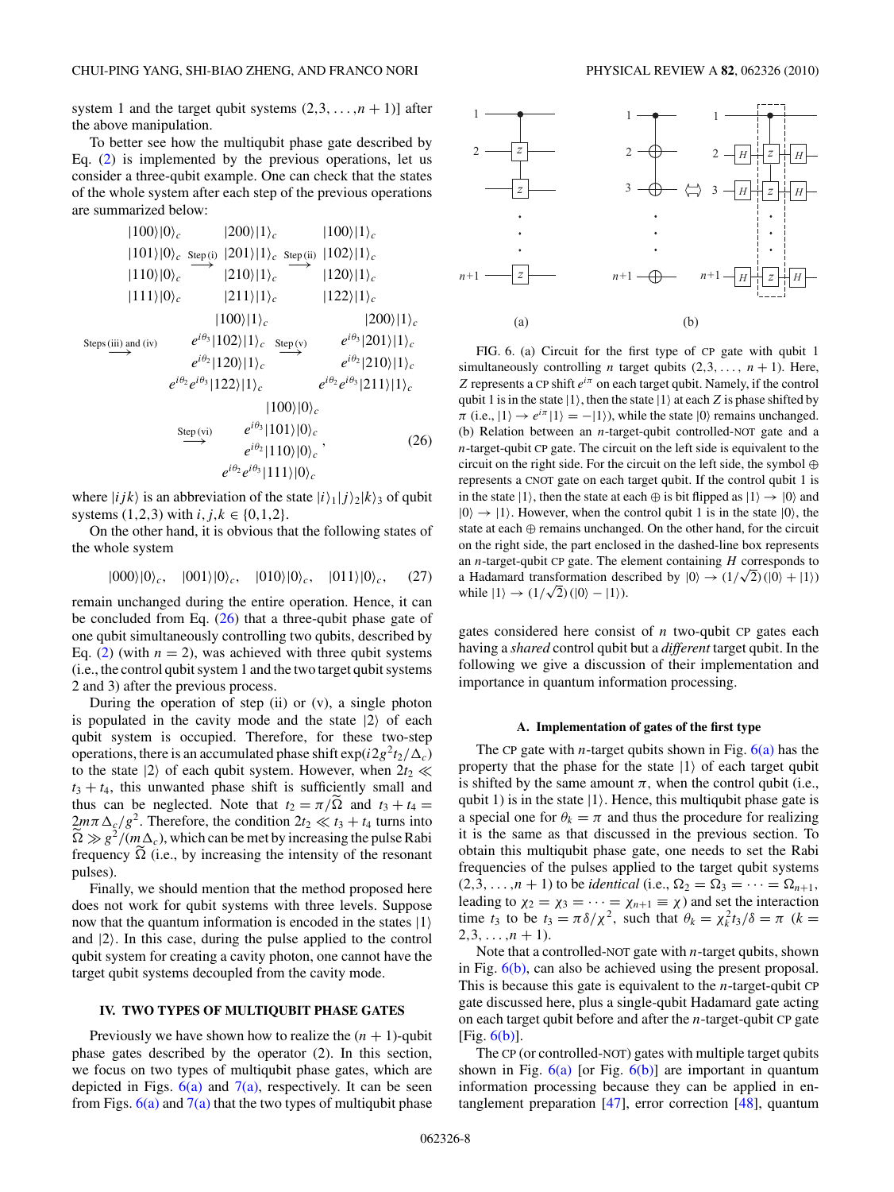<span id="page-7-0"></span>system 1 and the target qubit systems  $(2,3, \ldots, n + 1)$ ] after the above manipulation.

To better see how the multiqubit phase gate described by Eq. [\(2\)](#page-1-0) is implemented by the previous operations, let us consider a three-qubit example. One can check that the states of the whole system after each step of the previous operations are summarized below:

$$
|100\rangle|0\rangle_c
$$
\n
$$
|200\rangle|1\rangle_c
$$
\n
$$
|101\rangle|0\rangle_c
$$
\n
$$
|100\rangle|1\rangle_c
$$
\n
$$
|110\rangle|0\rangle_c
$$
\n
$$
|110\rangle|0\rangle_c
$$
\n
$$
|210\rangle|1\rangle_c
$$
\n
$$
|120\rangle|1\rangle_c
$$
\n
$$
|120\rangle|1\rangle_c
$$
\n
$$
|120\rangle|1\rangle_c
$$
\n
$$
|120\rangle|1\rangle_c
$$
\n
$$
|120\rangle|1\rangle_c
$$
\n
$$
|120\rangle|1\rangle_c
$$
\n
$$
|120\rangle|1\rangle_c
$$
\n
$$
|120\rangle|1\rangle_c
$$
\n
$$
|120\rangle|1\rangle_c
$$
\n
$$
|120\rangle|1\rangle_c
$$
\n
$$
e^{i\theta_3}|100\rangle|1\rangle_c
$$
\n
$$
e^{i\theta_2}|201\rangle|1\rangle_c
$$
\n
$$
e^{i\theta_2}|210\rangle|1\rangle_c
$$
\n
$$
e^{i\theta_2}|210\rangle|1\rangle_c
$$
\n
$$
|100\rangle|0\rangle_c
$$
\n
$$
S_{\text{tep(vi)}}
$$
\n
$$
e^{i\theta_3}|101\rangle|0\rangle_c
$$
\n
$$
e^{i\theta_2}|110\rangle|0\rangle_c
$$
\n
$$
e^{i\theta_2}|0\rangle_3|111\rangle|0\rangle_c
$$
\n
$$
e^{i\theta_3}|101\rangle|0\rangle_c
$$
\n(26)

where  $|ijk\rangle$  is an abbreviation of the state  $|i\rangle_1|j\rangle_2|k\rangle_3$  of qubit systems  $(1,2,3)$  with  $i, j, k \in \{0,1,2\}$ .

On the other hand, it is obvious that the following states of the whole system

$$
|000\rangle|0\rangle_c, \quad |001\rangle|0\rangle_c, \quad |010\rangle|0\rangle_c, \quad |011\rangle|0\rangle_c, \quad (27)
$$

remain unchanged during the entire operation. Hence, it can be concluded from Eq.  $(26)$  that a three-qubit phase gate of one qubit simultaneously controlling two qubits, described by Eq. [\(2\)](#page-1-0) (with  $n = 2$ ), was achieved with three qubit systems (i.e., the control qubit system 1 and the two target qubit systems 2 and 3) after the previous process.

During the operation of step (ii) or  $(v)$ , a single photon is populated in the cavity mode and the state  $|2\rangle$  of each qubit system is occupied. Therefore, for these two-step operations, there is an accumulated phase shift  $\exp(i2g^2t_2/\Delta_c)$ to the state  $|2\rangle$  of each qubit system. However, when  $2t_2 \ll$  $t_3 + t_4$ , this unwanted phase shift is sufficiently small and thus can be neglected. Note that  $t_2 = \pi/\Omega$  and  $t_3 + t_4 =$  $2m\pi\Delta_c/g^2$ . Therefore, the condition  $2t_2 \ll t_3 + t_4$  turns into  $\tilde{\Omega} \gg g^2/(m\Delta_c)$ , which can be met by increasing the pulse Rabi frequency  $\Omega$  (i.e., by increasing the intensity of the resonant pulses).

Finally, we should mention that the method proposed here does not work for qubit systems with three levels. Suppose now that the quantum information is encoded in the states  $|1\rangle$ and |2*.* In this case, during the pulse applied to the control qubit system for creating a cavity photon, one cannot have the target qubit systems decoupled from the cavity mode.

## **IV. TWO TYPES OF MULTIQUBIT PHASE GATES**

Previously we have shown how to realize the  $(n + 1)$ -qubit phase gates described by the operator (2). In this section, we focus on two types of multiqubit phase gates, which are depicted in Figs.  $6(a)$  and  $7(a)$ , respectively. It can be seen from Figs.  $6(a)$  and  $7(a)$  that the two types of multiqubit phase



FIG. 6. (a) Circuit for the first type of CP gate with qubit 1 simultaneously controlling *n* target qubits  $(2,3,..., n + 1)$ . Here, *Z* represents a CP shift *eiπ* on each target qubit. Namely, if the control qubit 1 is in the state  $|1\rangle$ , then the state  $|1\rangle$  at each *Z* is phase shifted by  $\pi$  (i.e.,  $|1\rangle \rightarrow e^{i\pi} |1\rangle = -|1\rangle$ ), while the state  $|0\rangle$  remains unchanged. (b) Relation between an *n*-target-qubit controlled-NOT gate and a *n*-target-qubit CP gate. The circuit on the left side is equivalent to the circuit on the right side. For the circuit on the left side, the symbol ⊕ represents a CNOT gate on each target qubit. If the control qubit 1 is in the state  $|1\rangle$ , then the state at each  $\oplus$  is bit flipped as  $|1\rangle \rightarrow |0\rangle$  and  $|0\rangle \rightarrow |1\rangle$ . However, when the control qubit 1 is in the state  $|0\rangle$ , the state at each ⊕ remains unchanged. On the other hand, for the circuit on the right side, the part enclosed in the dashed-line box represents an *n*-target-qubit CP gate. The element containing *H* corresponds to an *n*-target-qubit CP gate. The element containing *H* corresponds to<br>a Hadamard transformation described by  $|0\rangle \rightarrow (1/\sqrt{2})(|0\rangle + |1\rangle)$ a Hadamard transformation des<br>while  $|1\rangle \rightarrow (1/\sqrt{2}) (|0\rangle - |1\rangle)$ .

gates considered here consist of *n* two-qubit CP gates each having a *shared* control qubit but a *different* target qubit. In the following we give a discussion of their implementation and importance in quantum information processing.

### **A. Implementation of gates of the first type**

The CP gate with *n*-target qubits shown in Fig.  $6(a)$  has the property that the phase for the state  $|1\rangle$  of each target qubit is shifted by the same amount  $\pi$ , when the control qubit (i.e., qubit 1) is in the state  $|1\rangle$ . Hence, this multiqubit phase gate is a special one for  $\theta_k = \pi$  and thus the procedure for realizing it is the same as that discussed in the previous section. To obtain this multiqubit phase gate, one needs to set the Rabi frequencies of the pulses applied to the target qubit systems  $(2,3,...,n+1)$  to be *identical* (i.e.,  $\Omega_2 = \Omega_3 = \cdots = \Omega_{n+1}$ , leading to  $\chi_2 = \chi_3 = \cdots = \chi_{n+1} \equiv \chi$ ) and set the interaction time  $t_3$  to be  $t_3 = \pi \delta / \chi^2$ , such that  $\theta_k = \chi_k^2 t_3 / \delta = \pi$  ( $k =$  $2,3,\ldots,n+1$ .

Note that a controlled-NOT gate with *n*-target qubits, shown in Fig. 6(b), can also be achieved using the present proposal. This is because this gate is equivalent to the *n*-target-qubit CP gate discussed here, plus a single-qubit Hadamard gate acting on each target qubit before and after the *n*-target-qubit CP gate [Fig. 6(b)].

The CP (or controlled-NOT) gates with multiple target qubits shown in Fig.  $6(a)$  [or Fig.  $6(b)$ ] are important in quantum information processing because they can be applied in entanglement preparation [\[47\]](#page-12-0), error correction [\[48\]](#page-12-0), quantum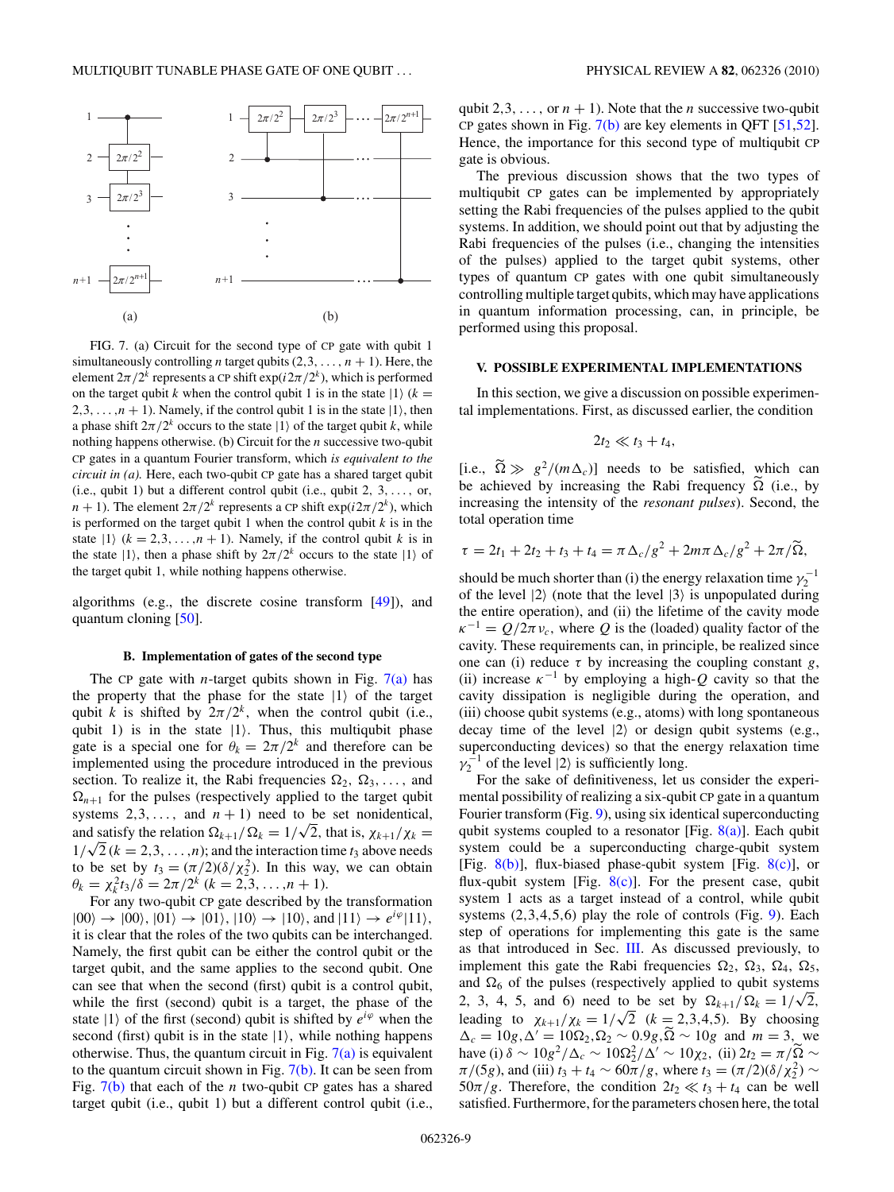<span id="page-8-0"></span>

FIG. 7. (a) Circuit for the second type of CP gate with qubit 1 simultaneously controlling *n* target qubits  $(2,3,\ldots,n+1)$ . Here, the element  $2\pi/2^k$  represents a CP shift  $\exp(i2\pi/2^k)$ , which is performed on the target qubit *k* when the control qubit 1 is in the state  $|1\rangle$  ( $k =$ 2,3,  $\dots$ ,  $n + 1$ ). Namely, if the control qubit 1 is in the state  $|1\rangle$ , then a phase shift  $2\pi/2^k$  occurs to the state  $|1\rangle$  of the target qubit *k*, while nothing happens otherwise. (b) Circuit for the *n* successive two-qubit CP gates in a quantum Fourier transform, which *is equivalent to the circuit in (a).* Here, each two-qubit CP gate has a shared target qubit (i.e., qubit 1) but a different control qubit (i.e., qubit 2*,* 3*,...,* or*,*  $n + 1$ ). The element  $2\pi/2^k$  represents a CP shift  $\exp(i2\pi/2^k)$ , which is performed on the target qubit 1 when the control qubit *k* is in the state  $|1\rangle$  ( $k = 2, 3, \ldots, n + 1$ ). Namely, if the control qubit  $k$  is in the state  $|1\rangle$ , then a phase shift by  $2\pi/2^k$  occurs to the state  $|1\rangle$  of the target qubit 1*,* while nothing happens otherwise.

algorithms (e.g., the discrete cosine transform [\[49\]](#page-12-0)), and quantum cloning [\[50\]](#page-12-0).

### **B. Implementation of gates of the second type**

The CP gate with *n*-target qubits shown in Fig.  $7(a)$  has the property that the phase for the state  $|1\rangle$  of the target qubit *k* is shifted by  $2\pi/2^k$ , when the control qubit (i.e., qubit 1) is in the state  $|1\rangle$ . Thus, this multiqubit phase gate is a special one for  $\theta_k = 2\pi/2^k$  and therefore can be implemented using the procedure introduced in the previous section. To realize it, the Rabi frequencies  $\Omega_2, \Omega_3, \ldots$ , and  $\Omega_{n+1}$  for the pulses (respectively applied to the target qubit systems  $2,3,...$ , and  $n + 1$ ) need to be set nonidentical, systems 2,3, ..., and  $n + 1$  heed to be set nonidentical,<br>and satisfy the relation  $\Omega_{k+1}/\Omega_k = 1/\sqrt{2}$ , that is,  $\chi_{k+1}/\chi_k =$ and satisfy the relation  $\sum_{k=1}^k \sum_{j=1}^k a_k = 1/\sqrt{2}$ , that is,  $\chi_{k+1}/\chi_k = 1/\sqrt{2}$  ( $k = 2, 3, ..., n$ ); and the interaction time *t*<sub>3</sub> above needs to be set by  $t_3 = (\pi/2)(\delta/\chi_2^2)$ . In this way, we can obtain  $\theta_k = \chi_k^2 t_3/\delta = 2\pi/2^k \ (k=2,3,\ldots,n+1).$ 

For any two-qubit CP gate described by the transformation  $|00\rangle \rightarrow |00\rangle, |01\rangle \rightarrow |01\rangle, |10\rangle \rightarrow |10\rangle, \text{and } |11\rangle \rightarrow e^{i\varphi}|11\rangle,$ it is clear that the roles of the two qubits can be interchanged. Namely, the first qubit can be either the control qubit or the target qubit, and the same applies to the second qubit. One can see that when the second (first) qubit is a control qubit, while the first (second) qubit is a target, the phase of the state  $|1\rangle$  of the first (second) qubit is shifted by  $e^{i\varphi}$  when the second (first) qubit is in the state |1*,* while nothing happens otherwise. Thus, the quantum circuit in Fig.  $7(a)$  is equivalent to the quantum circuit shown in Fig.  $7(b)$ . It can be seen from Fig. 7(b) that each of the *n* two-qubit CP gates has a shared target qubit (i.e., qubit 1) but a different control qubit (i.e., qubit 2,3, ..., or  $n + 1$ ). Note that the *n* successive two-qubit CP gates shown in Fig.  $7(b)$  are key elements in QFT [\[51,52\]](#page-12-0). Hence, the importance for this second type of multiqubit CP gate is obvious.

The previous discussion shows that the two types of multiqubit CP gates can be implemented by appropriately setting the Rabi frequencies of the pulses applied to the qubit systems. In addition, we should point out that by adjusting the Rabi frequencies of the pulses (i.e., changing the intensities of the pulses) applied to the target qubit systems, other types of quantum CP gates with one qubit simultaneously controlling multiple target qubits, which may have applications in quantum information processing, can, in principle, be performed using this proposal.

## **V. POSSIBLE EXPERIMENTAL IMPLEMENTATIONS**

In this section, we give a discussion on possible experimental implementations. First, as discussed earlier, the condition

$$
2t_2\ll t_3+t_4,
$$

[i.e.,  $\tilde{\Omega} \gg g^2/(m\Delta_c)$ ] needs to be satisfied, which can be achieved by increasing the Rabi frequency  $\tilde{\Omega}$  (i.e., by increasing the intensity of the *resonant pulses*). Second, the total operation time

$$
\tau = 2t_1 + 2t_2 + t_3 + t_4 = \pi \Delta_c / g^2 + 2m\pi \Delta_c / g^2 + 2\pi / \widetilde{\Omega},
$$

should be much shorter than (i) the energy relaxation time  $\gamma_2^{-1}$ of the level  $|2\rangle$  (note that the level  $|3\rangle$  is unpopulated during the entire operation), and (ii) the lifetime of the cavity mode  $\kappa^{-1} = Q/2\pi v_c$ , where *Q* is the (loaded) quality factor of the cavity. These requirements can, in principle, be realized since one can (i) reduce  $\tau$  by increasing the coupling constant *g*, (ii) increase  $\kappa^{-1}$  by employing a high- $Q$  cavity so that the cavity dissipation is negligible during the operation, and (iii) choose qubit systems (e.g., atoms) with long spontaneous decay time of the level  $|2\rangle$  or design qubit systems (e.g., superconducting devices) so that the energy relaxation time  $\gamma_2^{-1}$  of the level  $|2\rangle$  is sufficiently long.

For the sake of definitiveness, let us consider the experimental possibility of realizing a six-qubit CP gate in a quantum Fourier transform (Fig. [9\)](#page-9-0), using six identical superconducting qubit systems coupled to a resonator [Fig.  $8(a)$ ]. Each qubit system could be a superconducting charge-qubit system [Fig.  $8(b)$ ], flux-biased phase-qubit system [Fig.  $8(c)$ ], or flux-qubit system [Fig.  $8(c)$ ]. For the present case, qubit system 1 acts as a target instead of a control, while qubit systems (2*,*3*,*4*,*5*,*6) play the role of controls (Fig. [9\)](#page-9-0). Each step of operations for implementing this gate is the same as that introduced in Sec. [III.](#page-5-0) As discussed previously, to implement this gate the Rabi frequencies  $\Omega_2$ ,  $\Omega_3$ ,  $\Omega_4$ ,  $\Omega_5$ , and  $\Omega_6$  of the pulses (respectively applied to qubit systems and  $\Omega_6$  of the pulses (respectively applied to qubit systems<br>2, 3, 4, 5, and 6) need to be set by  $\Omega_{k+1}/\Omega_k = 1/\sqrt{2}$ , leading to  $\chi_{k+1}/\chi_k = 1/\sqrt{2}$  ( $k = 2,3,4,5$ ). By choosing  $\Delta_c = 10g, \Delta' = 10\Omega_2, \Omega_2 \sim 0.9g, \tilde{\Omega} \sim 10g$  and  $m = 3$ , we have (i)  $\delta \sim 10g^2/\Delta_c \sim 10\Omega_2^2/\Delta' \sim 10\chi_2$ , (ii)  $2t_2 = \pi/\Omega \sim$ *π*/(5*g*), and (iii) *t*<sub>3</sub> + *t*<sub>4</sub> ~  $60\pi/g$ , where *t*<sub>3</sub> =  $(\pi/2)(\delta/\chi_2^2)$  ~  $50\pi/g$ . Therefore, the condition  $2t_2 \ll t_3 + t_4$  can be well satisfied. Furthermore, for the parameters chosen here, the total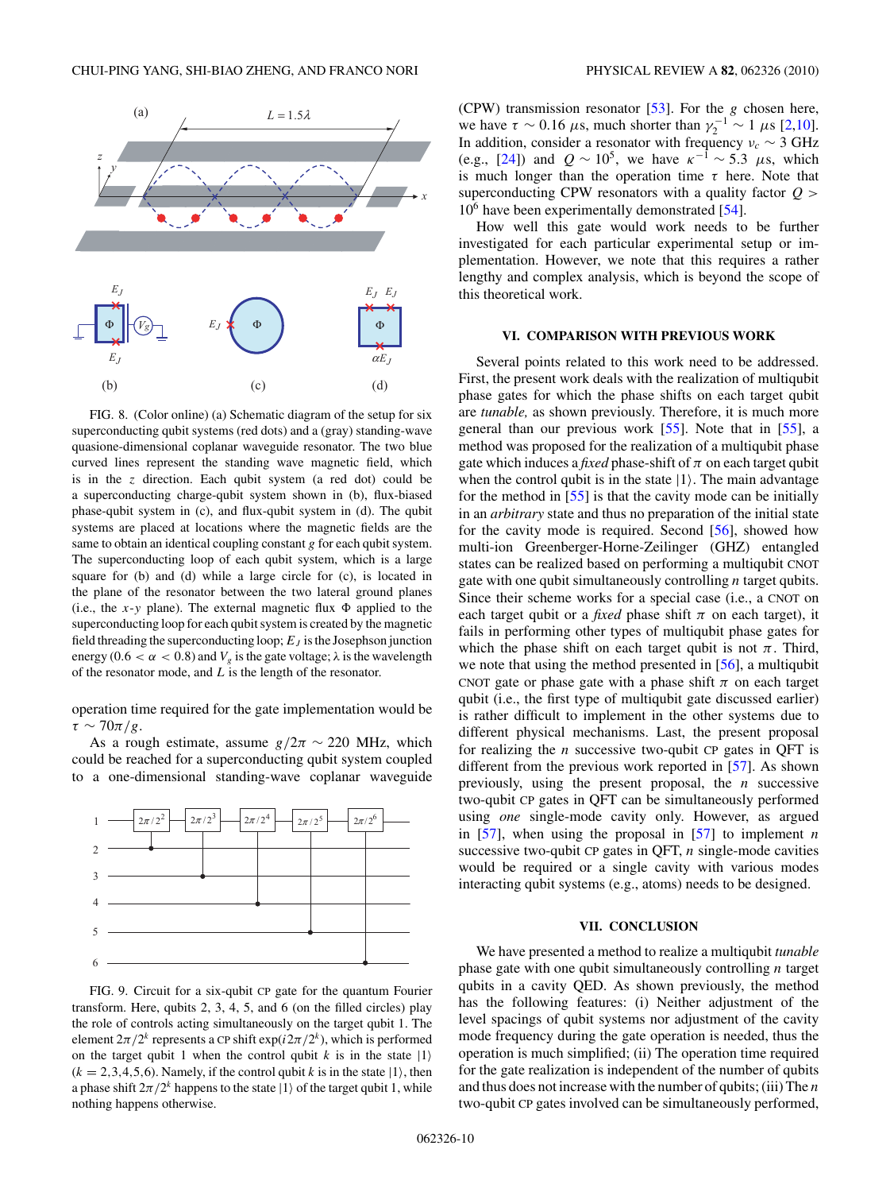<span id="page-9-0"></span>

FIG. 8. (Color online) (a) Schematic diagram of the setup for six superconducting qubit systems (red dots) and a (gray) standing-wave quasione-dimensional coplanar waveguide resonator. The two blue curved lines represent the standing wave magnetic field, which is in the *z* direction. Each qubit system (a red dot) could be a superconducting charge-qubit system shown in (b), flux-biased phase-qubit system in (c), and flux-qubit system in (d). The qubit systems are placed at locations where the magnetic fields are the same to obtain an identical coupling constant *g* for each qubit system. The superconducting loop of each qubit system, which is a large square for (b) and (d) while a large circle for (c), is located in the plane of the resonator between the two lateral ground planes (i.e., the  $x$ -*y* plane). The external magnetic flux  $\Phi$  applied to the superconducting loop for each qubit system is created by the magnetic field threading the superconducting loop;  $E_I$  is the Josephson junction energy (0.6  $\lt \alpha \lt 0.8$ ) and  $V_g$  is the gate voltage;  $\lambda$  is the wavelength of the resonator mode, and *L* is the length of the resonator.

operation time required for the gate implementation would be  $\tau \sim 70\pi/g$ .

As a rough estimate, assume  $g/2\pi \sim 220$  MHz, which could be reached for a superconducting qubit system coupled to a one-dimensional standing-wave coplanar waveguide



FIG. 9. Circuit for a six-qubit CP gate for the quantum Fourier transform. Here, qubits 2, 3, 4, 5, and 6 (on the filled circles) play the role of controls acting simultaneously on the target qubit 1. The element  $2\pi/2^k$  represents a CP shift  $\exp(i2\pi/2^k)$ , which is performed on the target qubit 1 when the control qubit  $k$  is in the state  $|1\rangle$  $(k = 2, 3, 4, 5, 6)$ . Namely, if the control qubit *k* is in the state  $|1\rangle$ , then a phase shift  $2\pi/2^k$  happens to the state  $|1\rangle$  of the target qubit 1, while nothing happens otherwise.

(CPW) transmission resonator [\[53\]](#page-12-0). For the *g* chosen here, we have  $\tau \sim 0.16 \ \mu s$ , much shorter than  $\gamma_2^{-1} \sim 1 \ \mu s$  [\[2,10\]](#page-11-0). In addition, consider a resonator with frequency  $v_c \sim 3 \text{ GHz}$ (e.g., [\[24\]](#page-11-0)) and  $Q \sim 10^5$ , we have  $\kappa^{-1} \sim 5.3 \mu s$ , which is much longer than the operation time *τ* here. Note that superconducting CPW resonators with a quality factor *Q >*  $10<sup>6</sup>$  have been experimentally demonstrated [\[54\]](#page-12-0).

How well this gate would work needs to be further investigated for each particular experimental setup or implementation. However, we note that this requires a rather lengthy and complex analysis, which is beyond the scope of this theoretical work.

### **VI. COMPARISON WITH PREVIOUS WORK**

Several points related to this work need to be addressed. First, the present work deals with the realization of multiqubit phase gates for which the phase shifts on each target qubit are *tunable,* as shown previously. Therefore, it is much more general than our previous work [\[55\]](#page-12-0). Note that in [\[55\]](#page-12-0), a method was proposed for the realization of a multiqubit phase gate which induces a *fixed* phase-shift of  $\pi$  on each target qubit when the control qubit is in the state  $|1\rangle$ . The main advantage for the method in [\[55\]](#page-12-0) is that the cavity mode can be initially in an *arbitrary* state and thus no preparation of the initial state for the cavity mode is required. Second [\[56\]](#page-12-0), showed how multi-ion Greenberger-Horne-Zeilinger (GHZ) entangled states can be realized based on performing a multiqubit CNOT gate with one qubit simultaneously controlling *n* target qubits. Since their scheme works for a special case (i.e., a CNOT on each target qubit or a *fixed* phase shift  $\pi$  on each target), it fails in performing other types of multiqubit phase gates for which the phase shift on each target qubit is not  $\pi$ . Third, we note that using the method presented in [\[56\]](#page-12-0), a multiqubit CNOT gate or phase gate with a phase shift  $\pi$  on each target qubit (i.e., the first type of multiqubit gate discussed earlier) is rather difficult to implement in the other systems due to different physical mechanisms. Last, the present proposal for realizing the *n* successive two-qubit CP gates in QFT is different from the previous work reported in [\[57\]](#page-12-0). As shown previously, using the present proposal, the *n* successive two-qubit CP gates in QFT can be simultaneously performed using *one* single-mode cavity only. However, as argued in [\[57\]](#page-12-0), when using the proposal in [\[57\]](#page-12-0) to implement *n* successive two-qubit CP gates in QFT, *n* single-mode cavities would be required or a single cavity with various modes interacting qubit systems (e.g., atoms) needs to be designed.

## **VII. CONCLUSION**

We have presented a method to realize a multiqubit *tunable* phase gate with one qubit simultaneously controlling *n* target qubits in a cavity QED. As shown previously, the method has the following features: (i) Neither adjustment of the level spacings of qubit systems nor adjustment of the cavity mode frequency during the gate operation is needed, thus the operation is much simplified; (ii) The operation time required for the gate realization is independent of the number of qubits and thus does not increase with the number of qubits; (iii) The *n* two-qubit CP gates involved can be simultaneously performed,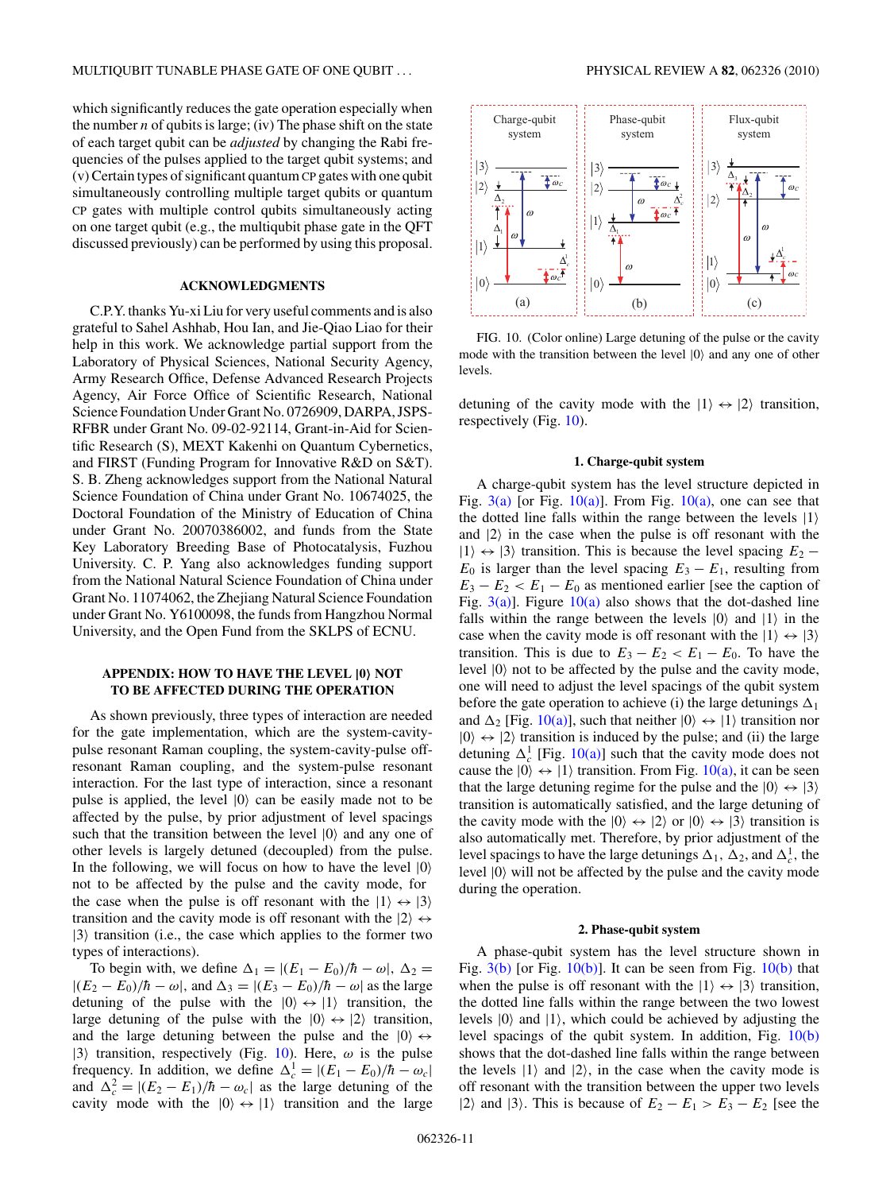<span id="page-10-0"></span>which significantly reduces the gate operation especially when the number *n* of qubits is large; (iv) The phase shift on the state of each target qubit can be *adjusted* by changing the Rabi frequencies of the pulses applied to the target qubit systems; and (v) Certain types of significant quantum CP gates with one qubit simultaneously controlling multiple target qubits or quantum CP gates with multiple control qubits simultaneously acting on one target qubit (e.g., the multiqubit phase gate in the QFT discussed previously) can be performed by using this proposal.

## **ACKNOWLEDGMENTS**

C.P.Y. thanks Yu-xi Liu for very useful comments and is also grateful to Sahel Ashhab, Hou Ian, and Jie-Qiao Liao for their help in this work. We acknowledge partial support from the Laboratory of Physical Sciences, National Security Agency, Army Research Office, Defense Advanced Research Projects Agency, Air Force Office of Scientific Research, National Science Foundation Under Grant No. 0726909, DARPA, JSPS-RFBR under Grant No. 09-02-92114, Grant-in-Aid for Scientific Research (S), MEXT Kakenhi on Quantum Cybernetics, and FIRST (Funding Program for Innovative R&D on S&T). S. B. Zheng acknowledges support from the National Natural Science Foundation of China under Grant No. 10674025, the Doctoral Foundation of the Ministry of Education of China under Grant No. 20070386002, and funds from the State Key Laboratory Breeding Base of Photocatalysis, Fuzhou University. C. P. Yang also acknowledges funding support from the National Natural Science Foundation of China under Grant No. 11074062, the Zhejiang Natural Science Foundation under Grant No. Y6100098, the funds from Hangzhou Normal University, and the Open Fund from the SKLPS of ECNU.

## **APPENDIX: HOW TO HAVE THE LEVEL |0 NOT TO BE AFFECTED DURING THE OPERATION**

As shown previously, three types of interaction are needed for the gate implementation, which are the system-cavitypulse resonant Raman coupling, the system-cavity-pulse offresonant Raman coupling, and the system-pulse resonant interaction. For the last type of interaction, since a resonant pulse is applied, the level  $|0\rangle$  can be easily made not to be affected by the pulse, by prior adjustment of level spacings such that the transition between the level  $|0\rangle$  and any one of other levels is largely detuned (decoupled) from the pulse. In the following, we will focus on how to have the level  $|0\rangle$ not to be affected by the pulse and the cavity mode, for the case when the pulse is off resonant with the  $|1\rangle \leftrightarrow |3\rangle$ transition and the cavity mode is off resonant with the  $|2\rangle \leftrightarrow$  $|3\rangle$  transition (i.e., the case which applies to the former two types of interactions).

To begin with, we define  $\Delta_1 = |(E_1 - E_0)/\hbar - \omega|$ ,  $\Delta_2 =$  $|(E_2 - E_0)/\hbar - \omega|$ , and  $\Delta_3 = |(E_3 - E_0)/\hbar - \omega|$  as the large detuning of the pulse with the  $|0\rangle \leftrightarrow |1\rangle$  transition, the large detuning of the pulse with the  $|0\rangle \leftrightarrow |2\rangle$  transition, and the large detuning between the pulse and the  $|0\rangle \leftrightarrow$  $|3\rangle$  transition, respectively (Fig. 10). Here,  $\omega$  is the pulse frequency. In addition, we define  $\Delta_c^1 = |(E_1 - E_0)/\hbar - \omega_c|$ and  $\Delta_c^2 = |(E_2 - E_1)/\hbar - \omega_c|$  as the large detuning of the cavity mode with the  $|0\rangle \leftrightarrow |1\rangle$  transition and the large



FIG. 10. (Color online) Large detuning of the pulse or the cavity mode with the transition between the level  $|0\rangle$  and any one of other levels.

detuning of the cavity mode with the  $|1\rangle \leftrightarrow |2\rangle$  transition, respectively (Fig. 10).

### **1. Charge-qubit system**

A charge-qubit system has the level structure depicted in Fig.  $3(a)$  [or Fig.  $10(a)$ ]. From Fig.  $10(a)$ , one can see that the dotted line falls within the range between the levels  $|1\rangle$ and  $|2\rangle$  in the case when the pulse is off resonant with the  $|1\rangle \leftrightarrow |3\rangle$  transition. This is because the level spacing  $E_2$  −  $E_0$  is larger than the level spacing  $E_3 - E_1$ , resulting from  $E_3 - E_2 < E_1 - E_0$  as mentioned earlier [see the caption of Fig.  $3(a)$ ]. Figure  $10(a)$  also shows that the dot-dashed line falls within the range between the levels  $|0\rangle$  and  $|1\rangle$  in the case when the cavity mode is off resonant with the  $|1\rangle \leftrightarrow |3\rangle$ transition. This is due to  $E_3 - E_2 < E_1 - E_0$ . To have the level  $|0\rangle$  not to be affected by the pulse and the cavity mode, one will need to adjust the level spacings of the qubit system before the gate operation to achieve (i) the large detunings  $\Delta_1$ and  $\Delta_2$  [Fig. 10(a)], such that neither  $|0\rangle \leftrightarrow |1\rangle$  transition nor  $|0\rangle \leftrightarrow |2\rangle$  transition is induced by the pulse; and (ii) the large detuning  $\Delta_c^1$  [Fig. 10(a)] such that the cavity mode does not cause the  $|0\rangle \leftrightarrow |1\rangle$  transition. From Fig. 10(a), it can be seen that the large detuning regime for the pulse and the  $|0\rangle \leftrightarrow |3\rangle$ transition is automatically satisfied, and the large detuning of the cavity mode with the  $|0\rangle \leftrightarrow |2\rangle$  or  $|0\rangle \leftrightarrow |3\rangle$  transition is also automatically met. Therefore, by prior adjustment of the level spacings to have the large detunings  $\Delta_1$ ,  $\Delta_2$ , and  $\Delta_c^1$ , the level  $|0\rangle$  will not be affected by the pulse and the cavity mode during the operation.

### **2. Phase-qubit system**

A phase-qubit system has the level structure shown in Fig.  $3(b)$  [or Fig.  $10(b)$ ]. It can be seen from Fig.  $10(b)$  that when the pulse is off resonant with the  $|1\rangle \leftrightarrow |3\rangle$  transition, the dotted line falls within the range between the two lowest levels  $|0\rangle$  and  $|1\rangle$ , which could be achieved by adjusting the level spacings of the qubit system. In addition, Fig. 10(b) shows that the dot-dashed line falls within the range between the levels  $|1\rangle$  and  $|2\rangle$ , in the case when the cavity mode is off resonant with the transition between the upper two levels |2) and |3). This is because of  $E_2 - E_1 > E_3 - E_2$  [see the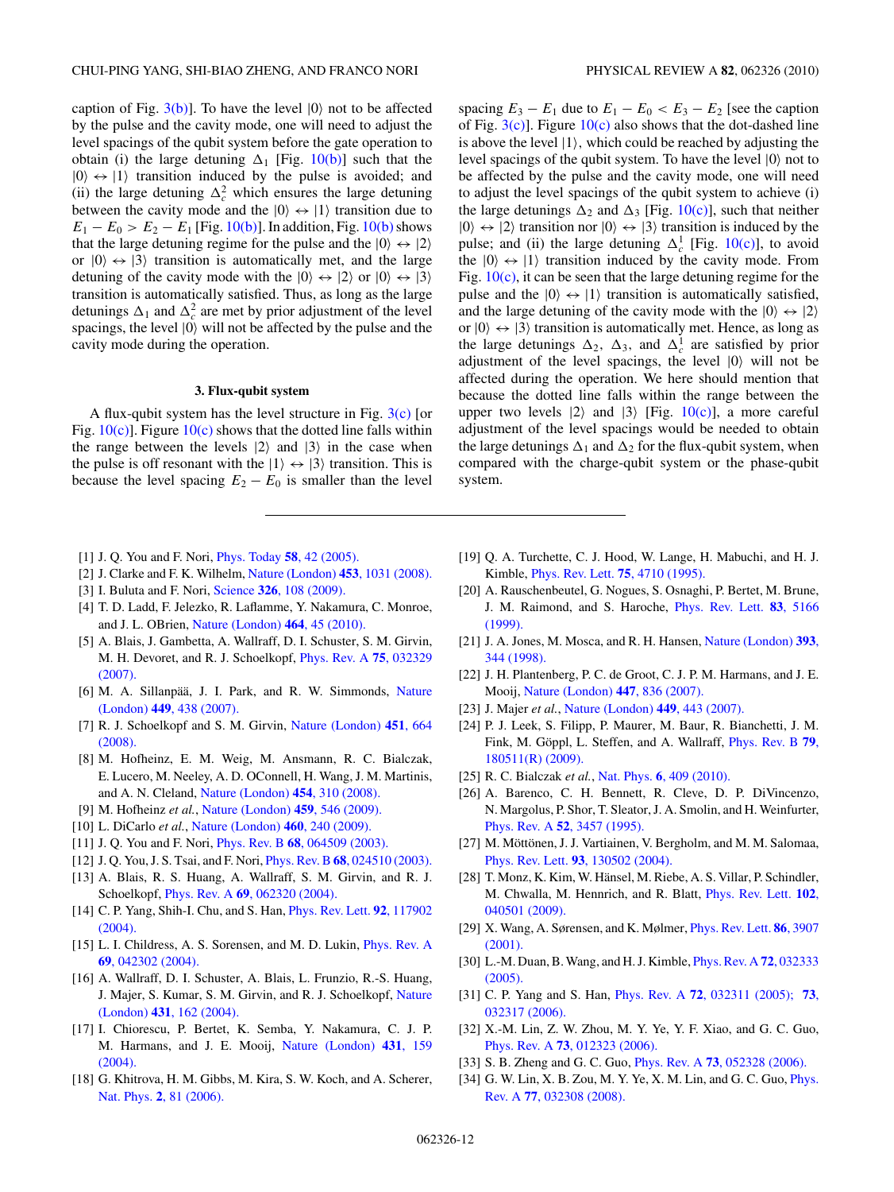<span id="page-11-0"></span>caption of Fig.  $3(b)$ ]. To have the level  $|0\rangle$  not to be affected by the pulse and the cavity mode, one will need to adjust the level spacings of the qubit system before the gate operation to obtain (i) the large detuning  $\Delta_1$  [Fig. [10\(b\)\]](#page-10-0) such that the  $|0\rangle \leftrightarrow |1\rangle$  transition induced by the pulse is avoided; and (ii) the large detuning  $\Delta_c^2$  which ensures the large detuning between the cavity mode and the  $|0\rangle \leftrightarrow |1\rangle$  transition due to  $E_1 - E_0 > E_2 - E_1$  [Fig. [10\(b\)\]](#page-10-0). In addition, Fig. [10\(b\)](#page-10-0) shows that the large detuning regime for the pulse and the  $|0\rangle \leftrightarrow |2\rangle$ or  $|0\rangle \leftrightarrow |3\rangle$  transition is automatically met, and the large detuning of the cavity mode with the  $|0\rangle \leftrightarrow |2\rangle$  or  $|0\rangle \leftrightarrow |3\rangle$ transition is automatically satisfied. Thus, as long as the large detunings  $\Delta_1$  and  $\Delta_c^2$  are met by prior adjustment of the level spacings, the level  $|0\rangle$  will not be affected by the pulse and the cavity mode during the operation.

### **3. Flux-qubit system**

A flux-qubit system has the level structure in Fig.  $3(c)$  [or Fig.  $10(c)$ ]. Figure  $10(c)$  shows that the dotted line falls within the range between the levels  $|2\rangle$  and  $|3\rangle$  in the case when the pulse is off resonant with the  $|1\rangle \leftrightarrow |3\rangle$  transition. This is because the level spacing  $E_2 - E_0$  is smaller than the level

spacing  $E_3 - E_1$  due to  $E_1 - E_0 < E_3 - E_2$  [see the caption of Fig.  $3(c)$ ]. Figure  $10(c)$  also shows that the dot-dashed line is above the level |1*,* which could be reached by adjusting the level spacings of the qubit system. To have the level  $|0\rangle$  not to be affected by the pulse and the cavity mode, one will need to adjust the level spacings of the qubit system to achieve (i) the large detunings  $\Delta_2$  and  $\Delta_3$  [Fig. [10\(c\)\]](#page-10-0), such that neither  $|0\rangle \leftrightarrow |2\rangle$  transition nor  $|0\rangle \leftrightarrow |3\rangle$  transition is induced by the pulse; and (ii) the large detuning  $\Delta_c^1$  [Fig. [10\(c\)\]](#page-10-0), to avoid the  $|0\rangle \leftrightarrow |1\rangle$  transition induced by the cavity mode. From Fig.  $10(c)$ , it can be seen that the large detuning regime for the pulse and the  $|0\rangle \leftrightarrow |1\rangle$  transition is automatically satisfied, and the large detuning of the cavity mode with the  $|0\rangle \leftrightarrow |2\rangle$ or  $|0\rangle \leftrightarrow |3\rangle$  transition is automatically met. Hence, as long as the large detunings  $\Delta_2$ ,  $\Delta_3$ , and  $\Delta_c^1$  are satisfied by prior adjustment of the level spacings, the level  $|0\rangle$  will not be affected during the operation. We here should mention that because the dotted line falls within the range between the upper two levels  $|2\rangle$  and  $|3\rangle$  [Fig. [10\(c\)\]](#page-10-0), a more careful adjustment of the level spacings would be needed to obtain the large detunings  $\Delta_1$  and  $\Delta_2$  for the flux-qubit system, when compared with the charge-qubit system or the phase-qubit system.

- [1] J. Q. You and F. Nori, [Phys. Today](http://dx.doi.org/10.1063/1.2155757) **58**, 42 (2005).
- [2] J. Clarke and F. K. Wilhelm, [Nature \(London\)](http://dx.doi.org/10.1038/nature07128) **453**, 1031 (2008).
- [3] I. Buluta and F. Nori, Science **326**[, 108 \(2009\).](http://dx.doi.org/10.1126/science.1177838)
- [4] T. D. Ladd, F. Jelezko, R. Laflamme, Y. Nakamura, C. Monroe, and J. L. OBrien, [Nature \(London\)](http://dx.doi.org/10.1038/nature08812) **464**, 45 (2010).
- [5] A. Blais, J. Gambetta, A. Wallraff, D. I. Schuster, S. M. Girvin, M. H. Devoret, and R. J. Schoelkopf, [Phys. Rev. A](http://dx.doi.org/10.1103/PhysRevA.75.032329) **75**, 032329 [\(2007\).](http://dx.doi.org/10.1103/PhysRevA.75.032329)
- [6] M. A. Sillanpää, J. I. Park, and R. W. Simmonds, [Nature](http://dx.doi.org/10.1038/nature06124) (London) **449**[, 438 \(2007\).](http://dx.doi.org/10.1038/nature06124)
- [7] R. J. Schoelkopf and S. M. Girvin, [Nature \(London\)](http://dx.doi.org/10.1038/451664a) **451**, 664 [\(2008\).](http://dx.doi.org/10.1038/451664a)
- [8] M. Hofheinz, E. M. Weig, M. Ansmann, R. C. Bialczak, E. Lucero, M. Neeley, A. D. OConnell, H. Wang, J. M. Martinis, and A. N. Cleland, [Nature \(London\)](http://dx.doi.org/10.1038/nature07136) **454**, 310 (2008).
- [9] M. Hofheinz *et al.*, [Nature \(London\)](http://dx.doi.org/10.1038/nature08005) **459**, 546 (2009).
- [10] L. DiCarlo *et al.*, [Nature \(London\)](http://dx.doi.org/10.1038/nature08121) **460**, 240 (2009).
- [11] J. Q. You and F. Nori, Phys. Rev. B **68**[, 064509 \(2003\).](http://dx.doi.org/10.1103/PhysRevB.68.064509)
- [12] J. Q. You, J. S. Tsai, and F. Nori, Phys. Rev. B **68**[, 024510 \(2003\).](http://dx.doi.org/10.1103/PhysRevB.68.024510)
- [13] A. Blais, R. S. Huang, A. Wallraff, S. M. Girvin, and R. J. Schoelkopf, Phys. Rev. A **69**[, 062320 \(2004\).](http://dx.doi.org/10.1103/PhysRevA.69.062320)
- [14] C. P. Yang, Shih-I. Chu, and S. Han, [Phys. Rev. Lett.](http://dx.doi.org/10.1103/PhysRevLett.92.117902) **92**, 117902 [\(2004\).](http://dx.doi.org/10.1103/PhysRevLett.92.117902)
- [15] L. I. Childress, A. S. Sorensen, and M. D. Lukin, *[Phys. Rev. A](http://dx.doi.org/10.1103/PhysRevA.69.042302)* **69**[, 042302 \(2004\).](http://dx.doi.org/10.1103/PhysRevA.69.042302)
- [16] A. Wallraff, D. I. Schuster, A. Blais, L. Frunzio, R.-S. Huang, J. Majer, S. Kumar, S. M. Girvin, and R. J. Schoelkopf, [Nature](http://dx.doi.org/10.1038/nature02851) (London) **431**[, 162 \(2004\).](http://dx.doi.org/10.1038/nature02851)
- [17] I. Chiorescu, P. Bertet, K. Semba, Y. Nakamura, C. J. P. M. Harmans, and J. E. Mooij, [Nature \(London\)](http://dx.doi.org/10.1038/nature02831) **431**, 159 [\(2004\).](http://dx.doi.org/10.1038/nature02831)
- [18] G. Khitrova, H. M. Gibbs, M. Kira, S. W. Koch, and A. Scherer, Nat. Phys. **2**[, 81 \(2006\).](http://dx.doi.org/10.1038/nphys227)
- [19] Q. A. Turchette, C. J. Hood, W. Lange, H. Mabuchi, and H. J. Kimble, [Phys. Rev. Lett.](http://dx.doi.org/10.1103/PhysRevLett.75.4710) **75**, 4710 (1995).
- [20] A. Rauschenbeutel, G. Nogues, S. Osnaghi, P. Bertet, M. Brune, J. M. Raimond, and S. Haroche, [Phys. Rev. Lett.](http://dx.doi.org/10.1103/PhysRevLett.83.5166) **83**, 5166 [\(1999\).](http://dx.doi.org/10.1103/PhysRevLett.83.5166)
- [21] J. A. Jones, M. Mosca, and R. H. Hansen, [Nature \(London\)](http://dx.doi.org/10.1038/30687) **393**, [344 \(1998\).](http://dx.doi.org/10.1038/30687)
- [22] J. H. Plantenberg, P. C. de Groot, C. J. P. M. Harmans, and J. E. Mooij, [Nature \(London\)](http://dx.doi.org/10.1038/nature05896) **447**, 836 (2007).
- [23] J. Majer *et al.*, [Nature \(London\)](http://dx.doi.org/10.1038/nature06184) **449**, 443 (2007).
- [24] P. J. Leek, S. Filipp, P. Maurer, M. Baur, R. Bianchetti, J. M. Fink, M. Göppl, L. Steffen, and A. Wallraff, *[Phys. Rev. B](http://dx.doi.org/10.1103/PhysRevB.79.180511)* 79, [180511\(R\) \(2009\).](http://dx.doi.org/10.1103/PhysRevB.79.180511)
- [25] R. C. Bialczak *et al.*, Nat. Phys. **6**[, 409 \(2010\).](http://dx.doi.org/10.1038/nphys1639)
- [26] A. Barenco, C. H. Bennett, R. Cleve, D. P. DiVincenzo, N. Margolus, P. Shor, T. Sleator, J. A. Smolin, and H. Weinfurter, Phys. Rev. A **52**[, 3457 \(1995\).](http://dx.doi.org/10.1103/PhysRevA.52.3457)
- [27] M. Möttönen, J. J. Vartiainen, V. Bergholm, and M. M. Salomaa, Phys. Rev. Lett. **93**[, 130502 \(2004\).](http://dx.doi.org/10.1103/PhysRevLett.93.130502)
- [28] T. Monz, K. Kim, W. Hänsel, M. Riebe, A. S. Villar, P. Schindler, M. Chwalla, M. Hennrich, and R. Blatt, [Phys. Rev. Lett.](http://dx.doi.org/10.1103/PhysRevLett.102.040501) **102**, [040501 \(2009\).](http://dx.doi.org/10.1103/PhysRevLett.102.040501)
- [29] X. Wang, A. Sørensen, and K. Mølmer, [Phys. Rev. Lett.](http://dx.doi.org/10.1103/PhysRevLett.86.3907) **86**, 3907 [\(2001\).](http://dx.doi.org/10.1103/PhysRevLett.86.3907)
- [30] L.-M. Duan, B.Wang, and H. J. Kimble, [Phys. Rev. A](http://dx.doi.org/10.1103/PhysRevA.72.032333) **72**, 032333 [\(2005\).](http://dx.doi.org/10.1103/PhysRevA.72.032333)
- [31] C. P. Yang and S. Han, Phys. Rev. A **72**[, 032311 \(2005\);](http://dx.doi.org/10.1103/PhysRevA.72.032311) **[73](http://dx.doi.org/10.1103/PhysRevA.73.032317)**, [032317 \(2006\).](http://dx.doi.org/10.1103/PhysRevA.73.032317)
- [32] X.-M. Lin, Z. W. Zhou, M. Y. Ye, Y. F. Xiao, and G. C. Guo, Phys. Rev. A **73**[, 012323 \(2006\).](http://dx.doi.org/10.1103/PhysRevA.73.012323)
- [33] S. B. Zheng and G. C. Guo, Phys. Rev. A **73**[, 052328 \(2006\).](http://dx.doi.org/10.1103/PhysRevA.73.052328)
- [34] G. W. Lin, X. B. Zou, M. Y. Ye, X. M. Lin, and G. C. Guo, *[Phys.](http://dx.doi.org/10.1103/PhysRevA.77.032308)* Rev. A **77**[, 032308 \(2008\).](http://dx.doi.org/10.1103/PhysRevA.77.032308)